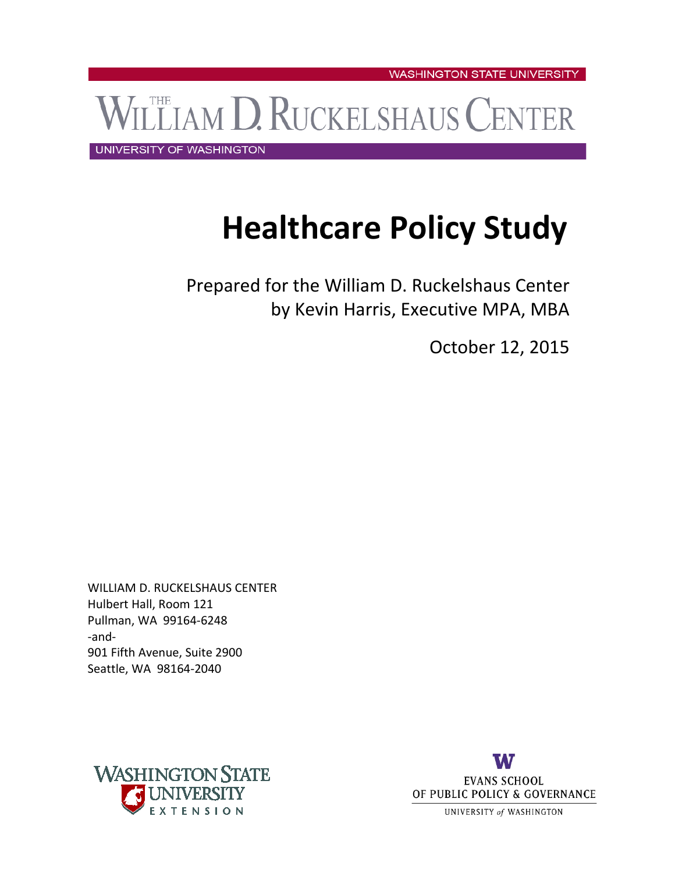LEIAM D. RUCKELSHAUS CENTER

UNIVERSITY OF WASHINGTON

# **Healthcare Policy Study**

Prepared for the William D. Ruckelshaus Center by Kevin Harris, Executive MPA, MBA

October 12, 2015

WILLIAM D. RUCKELSHAUS CENTER Hulbert Hall, Room 121 Pullman, WA 99164-6248 -and-901 Fifth Avenue, Suite 2900 Seattle, WA 98164-2040



UNIVERSITY of WASHINGTON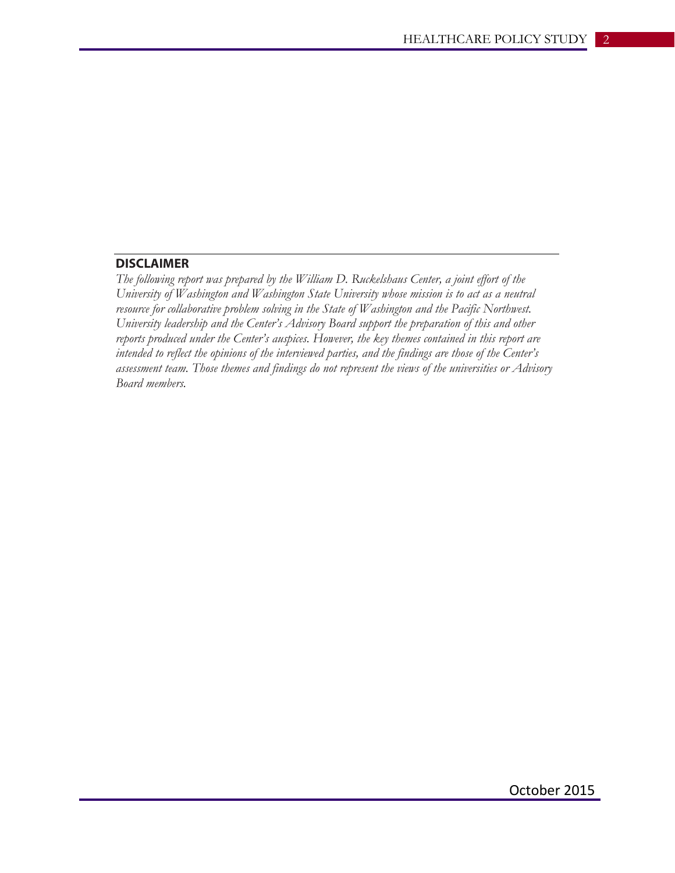## **DISCLAIMER**

*The following report was prepared by the William D. Ruckelshaus Center, a joint effort of the University of Washington and Washington State University whose mission is to act as a neutral resource for collaborative problem solving in the State of Washington and the Pacific Northwest. University leadership and the Center's Advisory Board support the preparation of this and other reports produced under the Center's auspices. However, the key themes contained in this report are intended to reflect the opinions of the interviewed parties, and the findings are those of the Center's assessment team. Those themes and findings do not represent the views of the universities or Advisory Board members.*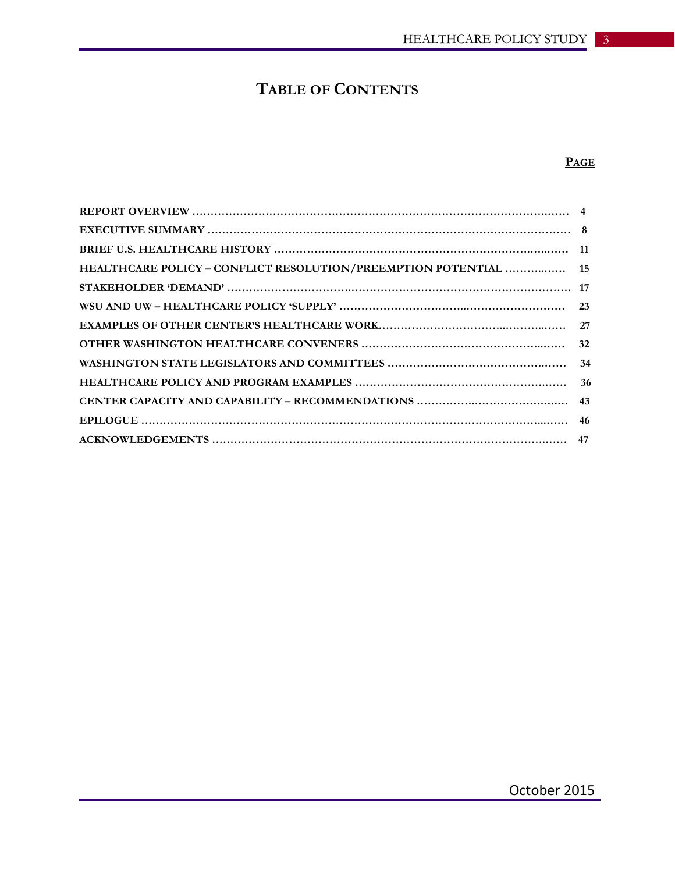## **TABLE OF CONTENTS**

## **PAGE**

| HEALTHCARE POLICY - CONFLICT RESOLUTION/PREEMPTION POTENTIAL  15 |  |
|------------------------------------------------------------------|--|
|                                                                  |  |
|                                                                  |  |
|                                                                  |  |
|                                                                  |  |
|                                                                  |  |
|                                                                  |  |
|                                                                  |  |
|                                                                  |  |
|                                                                  |  |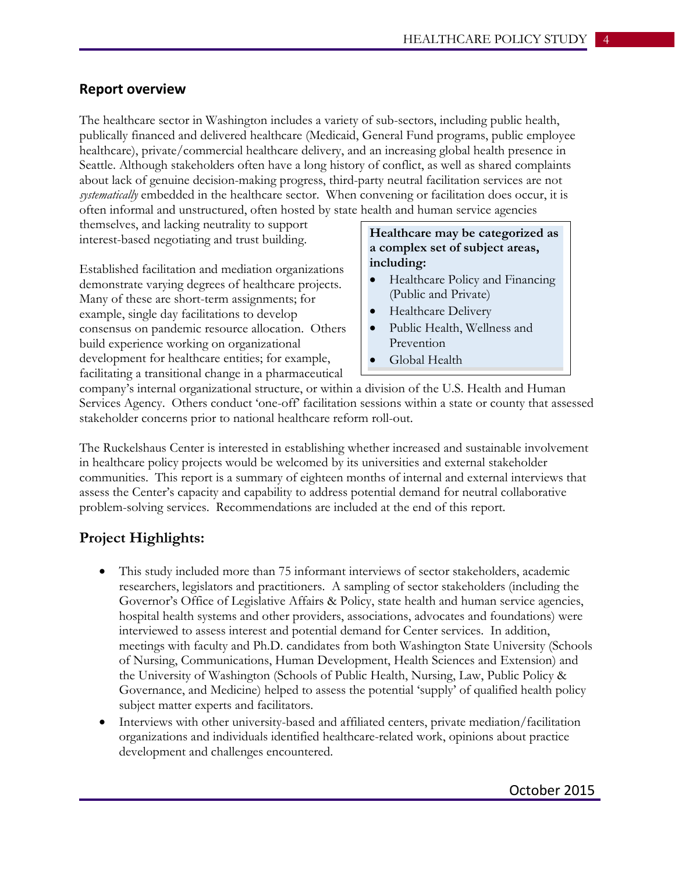## **Report overview**

The healthcare sector in Washington includes a variety of sub-sectors, including public health, publically financed and delivered healthcare (Medicaid, General Fund programs, public employee healthcare), private/commercial healthcare delivery, and an increasing global health presence in Seattle. Although stakeholders often have a long history of conflict, as well as shared complaints about lack of genuine decision-making progress, third-party neutral facilitation services are not *systematically* embedded in the healthcare sector. When convening or facilitation does occur, it is often informal and unstructured, often hosted by state health and human service agencies

themselves, and lacking neutrality to support interest-based negotiating and trust building.

Established facilitation and mediation organizations demonstrate varying degrees of healthcare projects. Many of these are short-term assignments; for example, single day facilitations to develop consensus on pandemic resource allocation. Others build experience working on organizational development for healthcare entities; for example, facilitating a transitional change in a pharmaceutical

## **Healthcare may be categorized as a complex set of subject areas, including:**

- Healthcare Policy and Financing (Public and Private)
- Healthcare Delivery
- Public Health, Wellness and Prevention
- Global Health

company's internal organizational structure, or within a division of the U.S. Health and Human Services Agency. Others conduct 'one-off' facilitation sessions within a state or county that assessed stakeholder concerns prior to national healthcare reform roll-out.

The Ruckelshaus Center is interested in establishing whether increased and sustainable involvement in healthcare policy projects would be welcomed by its universities and external stakeholder communities. This report is a summary of eighteen months of internal and external interviews that assess the Center's capacity and capability to address potential demand for neutral collaborative problem-solving services. Recommendations are included at the end of this report.

## **Project Highlights:**

- This study included more than 75 informant interviews of sector stakeholders, academic researchers, legislators and practitioners. A sampling of sector stakeholders (including the Governor's Office of Legislative Affairs & Policy, state health and human service agencies, hospital health systems and other providers, associations, advocates and foundations) were interviewed to assess interest and potential demand for Center services. In addition, meetings with faculty and Ph.D. candidates from both Washington State University (Schools of Nursing, Communications, Human Development, Health Sciences and Extension) and the University of Washington (Schools of Public Health, Nursing, Law, Public Policy & Governance, and Medicine) helped to assess the potential 'supply' of qualified health policy subject matter experts and facilitators.
- Interviews with other university-based and affiliated centers, private mediation/facilitation organizations and individuals identified healthcare-related work, opinions about practice development and challenges encountered.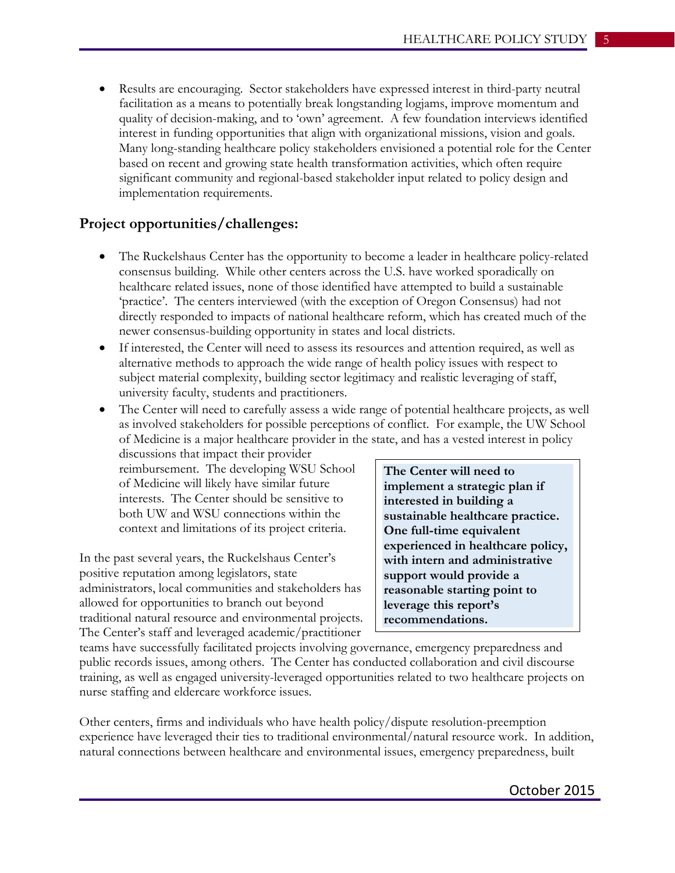• Results are encouraging. Sector stakeholders have expressed interest in third-party neutral facilitation as a means to potentially break longstanding logjams, improve momentum and quality of decision-making, and to 'own' agreement. A few foundation interviews identified interest in funding opportunities that align with organizational missions, vision and goals. Many long-standing healthcare policy stakeholders envisioned a potential role for the Center based on recent and growing state health transformation activities, which often require significant community and regional-based stakeholder input related to policy design and implementation requirements.

## **Project opportunities/challenges:**

- The Ruckelshaus Center has the opportunity to become a leader in healthcare policy-related consensus building. While other centers across the U.S. have worked sporadically on healthcare related issues, none of those identified have attempted to build a sustainable 'practice'. The centers interviewed (with the exception of Oregon Consensus) had not directly responded to impacts of national healthcare reform, which has created much of the newer consensus-building opportunity in states and local districts.
- If interested, the Center will need to assess its resources and attention required, as well as alternative methods to approach the wide range of health policy issues with respect to subject material complexity, building sector legitimacy and realistic leveraging of staff, university faculty, students and practitioners.
- The Center will need to carefully assess a wide range of potential healthcare projects, as well as involved stakeholders for possible perceptions of conflict. For example, the UW School of Medicine is a major healthcare provider in the state, and has a vested interest in policy

discussions that impact their provider reimbursement. The developing WSU School of Medicine will likely have similar future interests. The Center should be sensitive to both UW and WSU connections within the context and limitations of its project criteria.

In the past several years, the Ruckelshaus Center's positive reputation among legislators, state administrators, local communities and stakeholders has allowed for opportunities to branch out beyond traditional natural resource and environmental projects. The Center's staff and leveraged academic/practitioner

**The Center will need to implement a strategic plan if interested in building a sustainable healthcare practice. One full-time equivalent experienced in healthcare policy, with intern and administrative support would provide a reasonable starting point to leverage this report's recommendations.**

teams have successfully facilitated projects involving governance, emergency preparedness and public records issues, among others. The Center has conducted collaboration and civil discourse training, as well as engaged university-leveraged opportunities related to two healthcare projects on nurse staffing and eldercare workforce issues.

Other centers, firms and individuals who have health policy/dispute resolution-preemption experience have leveraged their ties to traditional environmental/natural resource work. In addition, natural connections between healthcare and environmental issues, emergency preparedness, built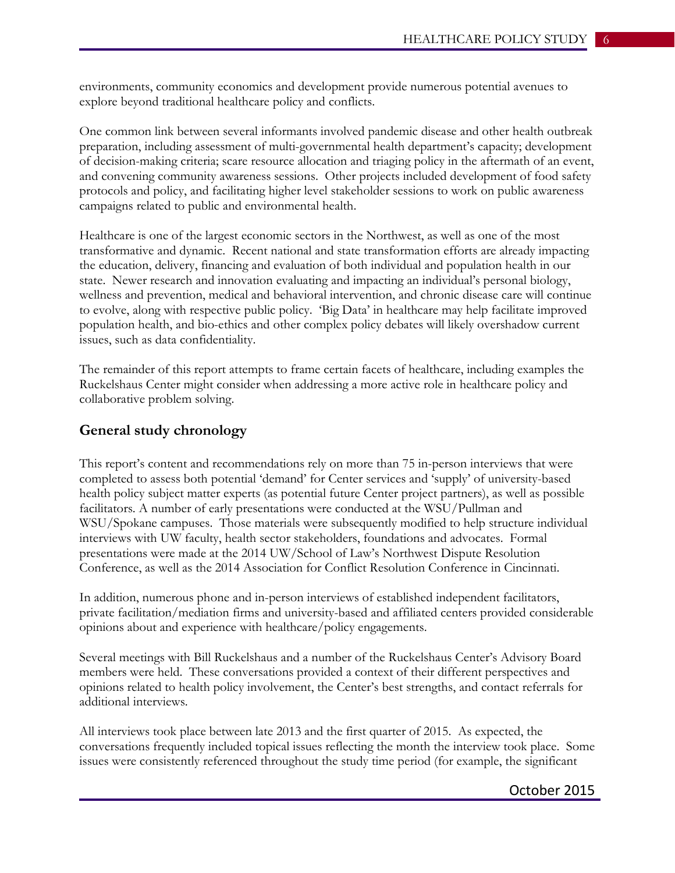environments, community economics and development provide numerous potential avenues to explore beyond traditional healthcare policy and conflicts.

One common link between several informants involved pandemic disease and other health outbreak preparation, including assessment of multi-governmental health department's capacity; development of decision-making criteria; scare resource allocation and triaging policy in the aftermath of an event, and convening community awareness sessions. Other projects included development of food safety protocols and policy, and facilitating higher level stakeholder sessions to work on public awareness campaigns related to public and environmental health.

Healthcare is one of the largest economic sectors in the Northwest, as well as one of the most transformative and dynamic. Recent national and state transformation efforts are already impacting the education, delivery, financing and evaluation of both individual and population health in our state. Newer research and innovation evaluating and impacting an individual's personal biology, wellness and prevention, medical and behavioral intervention, and chronic disease care will continue to evolve, along with respective public policy. 'Big Data' in healthcare may help facilitate improved population health, and bio-ethics and other complex policy debates will likely overshadow current issues, such as data confidentiality.

The remainder of this report attempts to frame certain facets of healthcare, including examples the Ruckelshaus Center might consider when addressing a more active role in healthcare policy and collaborative problem solving.

#### **General study chronology**

This report's content and recommendations rely on more than 75 in-person interviews that were completed to assess both potential 'demand' for Center services and 'supply' of university-based health policy subject matter experts (as potential future Center project partners), as well as possible facilitators. A number of early presentations were conducted at the WSU/Pullman and WSU/Spokane campuses. Those materials were subsequently modified to help structure individual interviews with UW faculty, health sector stakeholders, foundations and advocates. Formal presentations were made at the 2014 UW/School of Law's Northwest Dispute Resolution Conference, as well as the 2014 Association for Conflict Resolution Conference in Cincinnati.

In addition, numerous phone and in-person interviews of established independent facilitators, private facilitation/mediation firms and university-based and affiliated centers provided considerable opinions about and experience with healthcare/policy engagements.

Several meetings with Bill Ruckelshaus and a number of the Ruckelshaus Center's Advisory Board members were held. These conversations provided a context of their different perspectives and opinions related to health policy involvement, the Center's best strengths, and contact referrals for additional interviews.

All interviews took place between late 2013 and the first quarter of 2015. As expected, the conversations frequently included topical issues reflecting the month the interview took place. Some issues were consistently referenced throughout the study time period (for example, the significant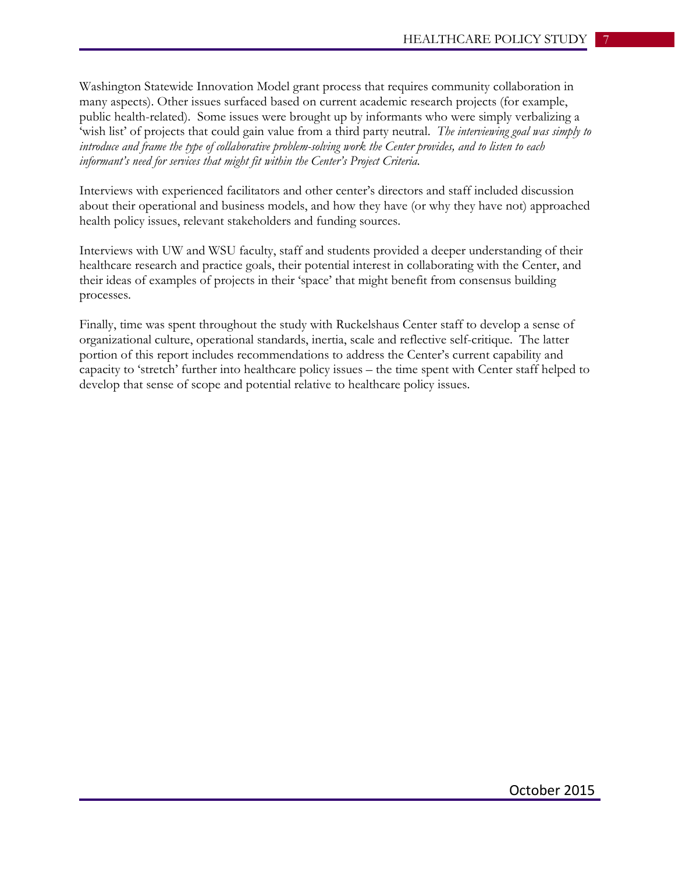Washington Statewide Innovation Model grant process that requires community collaboration in many aspects). Other issues surfaced based on current academic research projects (for example, public health-related). Some issues were brought up by informants who were simply verbalizing a 'wish list' of projects that could gain value from a third party neutral. *The interviewing goal was simply to introduce and frame the type of collaborative problem-solving work the Center provides, and to listen to each informant's need for services that might fit within the Center's Project Criteria.*

Interviews with experienced facilitators and other center's directors and staff included discussion about their operational and business models, and how they have (or why they have not) approached health policy issues, relevant stakeholders and funding sources.

Interviews with UW and WSU faculty, staff and students provided a deeper understanding of their healthcare research and practice goals, their potential interest in collaborating with the Center, and their ideas of examples of projects in their 'space' that might benefit from consensus building processes.

Finally, time was spent throughout the study with Ruckelshaus Center staff to develop a sense of organizational culture, operational standards, inertia, scale and reflective self-critique. The latter portion of this report includes recommendations to address the Center's current capability and capacity to 'stretch' further into healthcare policy issues – the time spent with Center staff helped to develop that sense of scope and potential relative to healthcare policy issues.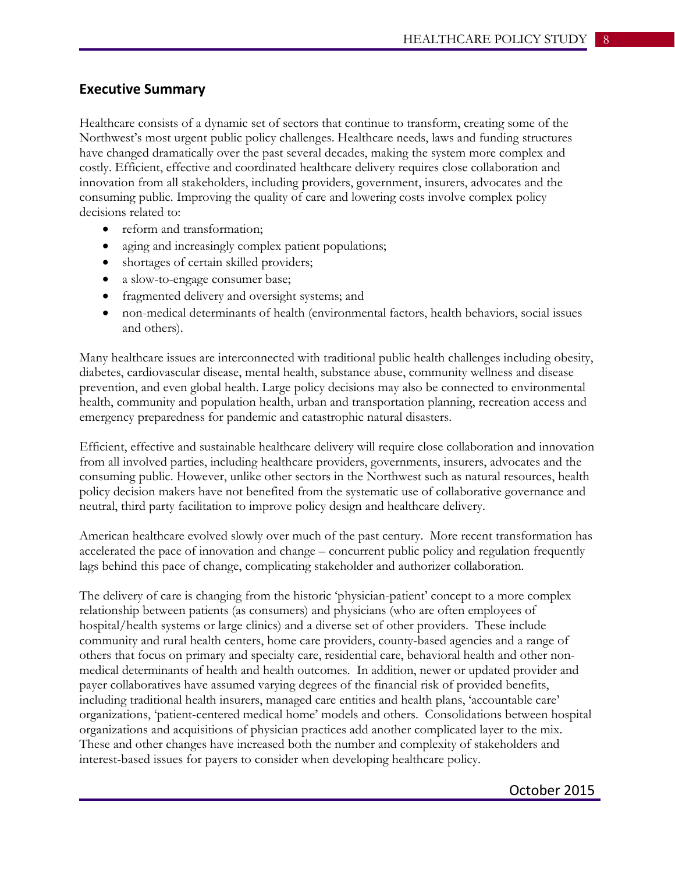## **Executive Summary**

Healthcare consists of a dynamic set of sectors that continue to transform, creating some of the Northwest's most urgent public policy challenges. Healthcare needs, laws and funding structures have changed dramatically over the past several decades, making the system more complex and costly. Efficient, effective and coordinated healthcare delivery requires close collaboration and innovation from all stakeholders, including providers, government, insurers, advocates and the consuming public. Improving the quality of care and lowering costs involve complex policy decisions related to:

- reform and transformation;
- aging and increasingly complex patient populations;
- shortages of certain skilled providers;
- a slow-to-engage consumer base;
- fragmented delivery and oversight systems; and
- non-medical determinants of health (environmental factors, health behaviors, social issues and others).

Many healthcare issues are interconnected with traditional public health challenges including obesity, diabetes, cardiovascular disease, mental health, substance abuse, community wellness and disease prevention, and even global health. Large policy decisions may also be connected to environmental health, community and population health, urban and transportation planning, recreation access and emergency preparedness for pandemic and catastrophic natural disasters.

Efficient, effective and sustainable healthcare delivery will require close collaboration and innovation from all involved parties, including healthcare providers, governments, insurers, advocates and the consuming public. However, unlike other sectors in the Northwest such as natural resources, health policy decision makers have not benefited from the systematic use of collaborative governance and neutral, third party facilitation to improve policy design and healthcare delivery.

American healthcare evolved slowly over much of the past century. More recent transformation has accelerated the pace of innovation and change – concurrent public policy and regulation frequently lags behind this pace of change, complicating stakeholder and authorizer collaboration.

The delivery of care is changing from the historic 'physician-patient' concept to a more complex relationship between patients (as consumers) and physicians (who are often employees of hospital/health systems or large clinics) and a diverse set of other providers. These include community and rural health centers, home care providers, county-based agencies and a range of others that focus on primary and specialty care, residential care, behavioral health and other nonmedical determinants of health and health outcomes. In addition, newer or updated provider and payer collaboratives have assumed varying degrees of the financial risk of provided benefits, including traditional health insurers, managed care entities and health plans, 'accountable care' organizations, 'patient-centered medical home' models and others. Consolidations between hospital organizations and acquisitions of physician practices add another complicated layer to the mix. These and other changes have increased both the number and complexity of stakeholders and interest-based issues for payers to consider when developing healthcare policy.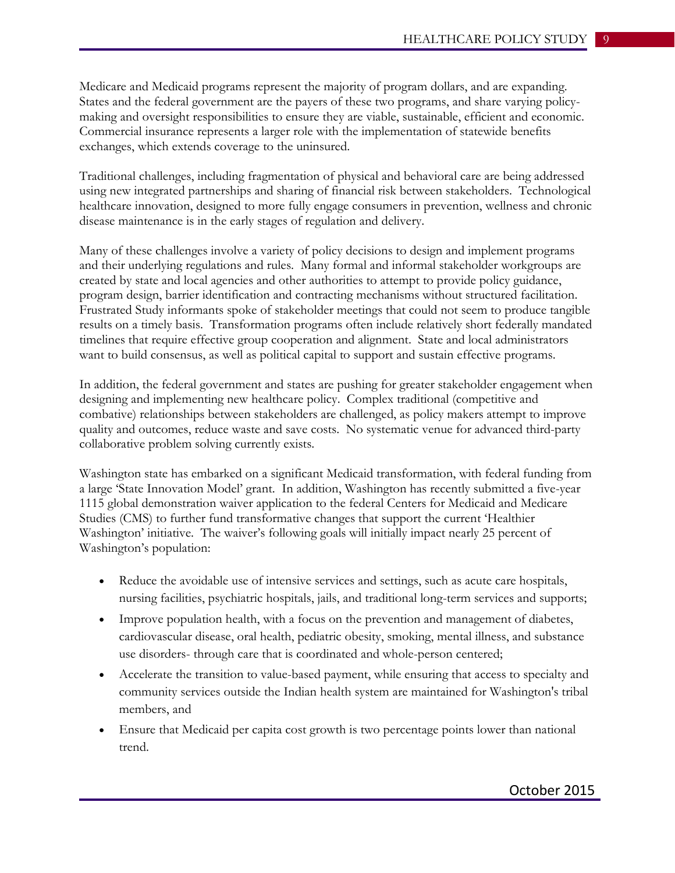Medicare and Medicaid programs represent the majority of program dollars, and are expanding. States and the federal government are the payers of these two programs, and share varying policymaking and oversight responsibilities to ensure they are viable, sustainable, efficient and economic. Commercial insurance represents a larger role with the implementation of statewide benefits exchanges, which extends coverage to the uninsured.

Traditional challenges, including fragmentation of physical and behavioral care are being addressed using new integrated partnerships and sharing of financial risk between stakeholders. Technological healthcare innovation, designed to more fully engage consumers in prevention, wellness and chronic disease maintenance is in the early stages of regulation and delivery.

Many of these challenges involve a variety of policy decisions to design and implement programs and their underlying regulations and rules. Many formal and informal stakeholder workgroups are created by state and local agencies and other authorities to attempt to provide policy guidance, program design, barrier identification and contracting mechanisms without structured facilitation. Frustrated Study informants spoke of stakeholder meetings that could not seem to produce tangible results on a timely basis. Transformation programs often include relatively short federally mandated timelines that require effective group cooperation and alignment. State and local administrators want to build consensus, as well as political capital to support and sustain effective programs.

In addition, the federal government and states are pushing for greater stakeholder engagement when designing and implementing new healthcare policy. Complex traditional (competitive and combative) relationships between stakeholders are challenged, as policy makers attempt to improve quality and outcomes, reduce waste and save costs. No systematic venue for advanced third-party collaborative problem solving currently exists.

Washington state has embarked on a significant Medicaid transformation, with federal funding from a large 'State Innovation Model' grant. In addition, Washington has recently submitted a five-year 1115 global demonstration waiver application to the federal Centers for Medicaid and Medicare Studies (CMS) to further fund transformative changes that support the current 'Healthier Washington' initiative. The waiver's following goals will initially impact nearly 25 percent of Washington's population:

- Reduce the avoidable use of intensive services and settings, such as acute care hospitals, nursing facilities, psychiatric hospitals, jails, and traditional long-term services and supports;
- Improve population health, with a focus on the prevention and management of diabetes, cardiovascular disease, oral health, pediatric obesity, smoking, mental illness, and substance use disorders- through care that is coordinated and whole-person centered;
- Accelerate the transition to value-based payment, while ensuring that access to specialty and community services outside the Indian health system are maintained for Washington's tribal members, and
- Ensure that Medicaid per capita cost growth is two percentage points lower than national trend.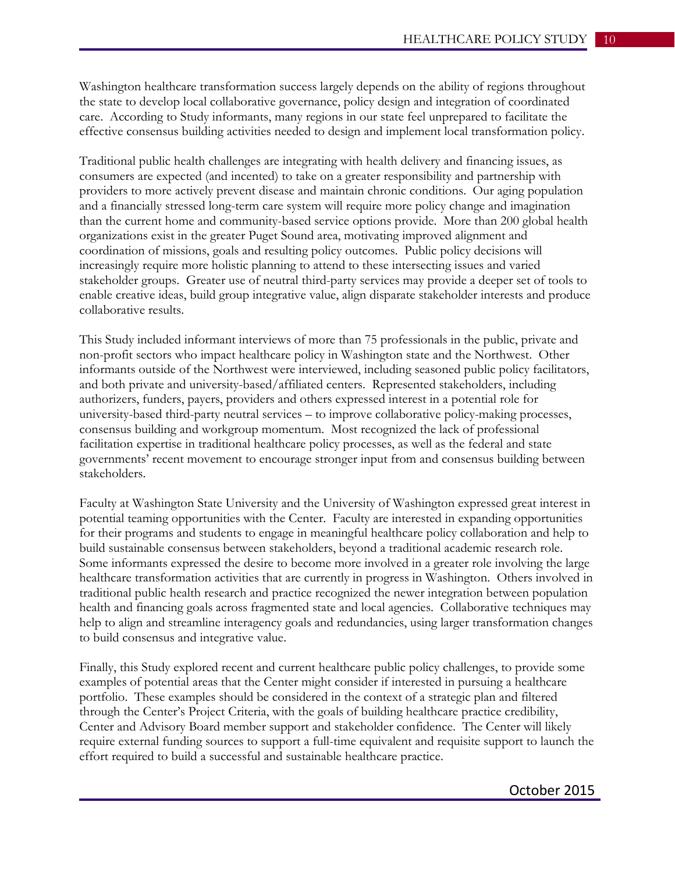Washington healthcare transformation success largely depends on the ability of regions throughout the state to develop local collaborative governance, policy design and integration of coordinated care. According to Study informants, many regions in our state feel unprepared to facilitate the effective consensus building activities needed to design and implement local transformation policy.

Traditional public health challenges are integrating with health delivery and financing issues, as consumers are expected (and incented) to take on a greater responsibility and partnership with providers to more actively prevent disease and maintain chronic conditions. Our aging population and a financially stressed long-term care system will require more policy change and imagination than the current home and community-based service options provide. More than 200 global health organizations exist in the greater Puget Sound area, motivating improved alignment and coordination of missions, goals and resulting policy outcomes. Public policy decisions will increasingly require more holistic planning to attend to these intersecting issues and varied stakeholder groups. Greater use of neutral third-party services may provide a deeper set of tools to enable creative ideas, build group integrative value, align disparate stakeholder interests and produce collaborative results.

This Study included informant interviews of more than 75 professionals in the public, private and non-profit sectors who impact healthcare policy in Washington state and the Northwest. Other informants outside of the Northwest were interviewed, including seasoned public policy facilitators, and both private and university-based/affiliated centers. Represented stakeholders, including authorizers, funders, payers, providers and others expressed interest in a potential role for university-based third-party neutral services – to improve collaborative policy-making processes, consensus building and workgroup momentum. Most recognized the lack of professional facilitation expertise in traditional healthcare policy processes, as well as the federal and state governments' recent movement to encourage stronger input from and consensus building between stakeholders.

Faculty at Washington State University and the University of Washington expressed great interest in potential teaming opportunities with the Center. Faculty are interested in expanding opportunities for their programs and students to engage in meaningful healthcare policy collaboration and help to build sustainable consensus between stakeholders, beyond a traditional academic research role. Some informants expressed the desire to become more involved in a greater role involving the large healthcare transformation activities that are currently in progress in Washington. Others involved in traditional public health research and practice recognized the newer integration between population health and financing goals across fragmented state and local agencies. Collaborative techniques may help to align and streamline interagency goals and redundancies, using larger transformation changes to build consensus and integrative value.

Finally, this Study explored recent and current healthcare public policy challenges, to provide some examples of potential areas that the Center might consider if interested in pursuing a healthcare portfolio. These examples should be considered in the context of a strategic plan and filtered through the Center's Project Criteria, with the goals of building healthcare practice credibility, Center and Advisory Board member support and stakeholder confidence. The Center will likely require external funding sources to support a full-time equivalent and requisite support to launch the effort required to build a successful and sustainable healthcare practice.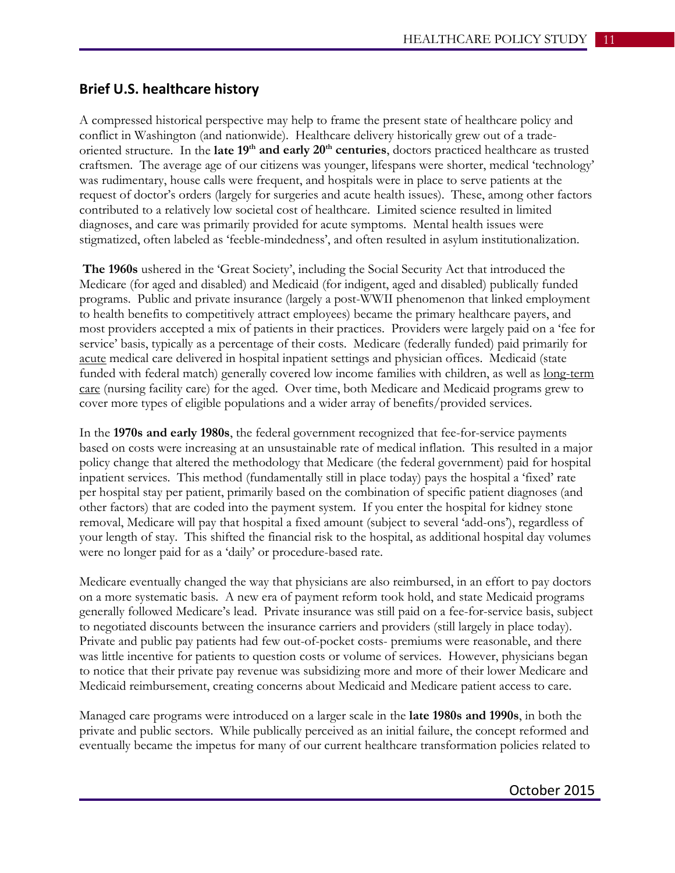## **Brief U.S. healthcare history**

A compressed historical perspective may help to frame the present state of healthcare policy and conflict in Washington (and nationwide). Healthcare delivery historically grew out of a tradeoriented structure. In the late 19<sup>th</sup> and early 20<sup>th</sup> centuries, doctors practiced healthcare as trusted craftsmen. The average age of our citizens was younger, lifespans were shorter, medical 'technology' was rudimentary, house calls were frequent, and hospitals were in place to serve patients at the request of doctor's orders (largely for surgeries and acute health issues). These, among other factors contributed to a relatively low societal cost of healthcare. Limited science resulted in limited diagnoses, and care was primarily provided for acute symptoms. Mental health issues were stigmatized, often labeled as 'feeble-mindedness', and often resulted in asylum institutionalization.

**The 1960s** ushered in the 'Great Society', including the Social Security Act that introduced the Medicare (for aged and disabled) and Medicaid (for indigent, aged and disabled) publically funded programs. Public and private insurance (largely a post-WWII phenomenon that linked employment to health benefits to competitively attract employees) became the primary healthcare payers, and most providers accepted a mix of patients in their practices. Providers were largely paid on a 'fee for service' basis, typically as a percentage of their costs. Medicare (federally funded) paid primarily for acute medical care delivered in hospital inpatient settings and physician offices. Medicaid (state funded with federal match) generally covered low income families with children, as well as long-term care (nursing facility care) for the aged. Over time, both Medicare and Medicaid programs grew to cover more types of eligible populations and a wider array of benefits/provided services.

In the **1970s and early 1980s**, the federal government recognized that fee-for-service payments based on costs were increasing at an unsustainable rate of medical inflation. This resulted in a major policy change that altered the methodology that Medicare (the federal government) paid for hospital inpatient services. This method (fundamentally still in place today) pays the hospital a 'fixed' rate per hospital stay per patient, primarily based on the combination of specific patient diagnoses (and other factors) that are coded into the payment system. If you enter the hospital for kidney stone removal, Medicare will pay that hospital a fixed amount (subject to several 'add-ons'), regardless of your length of stay. This shifted the financial risk to the hospital, as additional hospital day volumes were no longer paid for as a 'daily' or procedure-based rate.

Medicare eventually changed the way that physicians are also reimbursed, in an effort to pay doctors on a more systematic basis. A new era of payment reform took hold, and state Medicaid programs generally followed Medicare's lead. Private insurance was still paid on a fee-for-service basis, subject to negotiated discounts between the insurance carriers and providers (still largely in place today). Private and public pay patients had few out-of-pocket costs- premiums were reasonable, and there was little incentive for patients to question costs or volume of services. However, physicians began to notice that their private pay revenue was subsidizing more and more of their lower Medicare and Medicaid reimbursement, creating concerns about Medicaid and Medicare patient access to care.

Managed care programs were introduced on a larger scale in the **late 1980s and 1990s**, in both the private and public sectors. While publically perceived as an initial failure, the concept reformed and eventually became the impetus for many of our current healthcare transformation policies related to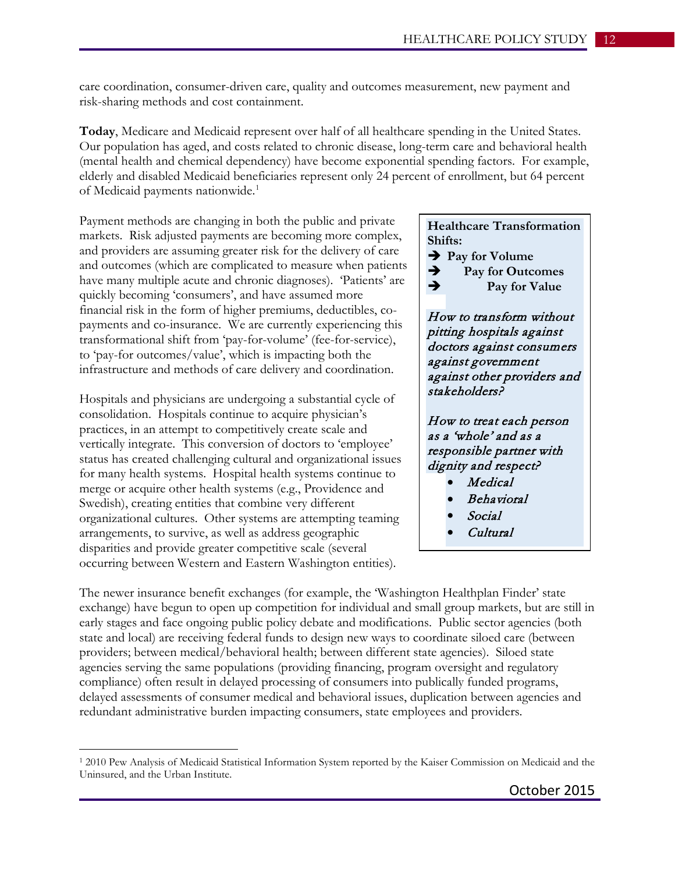care coordination, consumer-driven care, quality and outcomes measurement, new payment and risk-sharing methods and cost containment.

**Today**, Medicare and Medicaid represent over half of all healthcare spending in the United States. Our population has aged, and costs related to chronic disease, long-term care and behavioral health (mental health and chemical dependency) have become exponential spending factors. For example, elderly and disabled Medicaid beneficiaries represent only 24 percent of enrollment, but 64 percent of Medicaid payments nationwide. [1](#page-11-0)

Payment methods are changing in both the public and private markets. Risk adjusted payments are becoming more complex, and providers are assuming greater risk for the delivery of care and outcomes (which are complicated to measure when patients have many multiple acute and chronic diagnoses). 'Patients' are quickly becoming 'consumers', and have assumed more financial risk in the form of higher premiums, deductibles, copayments and co-insurance. We are currently experiencing this transformational shift from 'pay-for-volume' (fee-for-service), to 'pay-for outcomes/value', which is impacting both the infrastructure and methods of care delivery and coordination.

Hospitals and physicians are undergoing a substantial cycle of consolidation. Hospitals continue to acquire physician's practices, in an attempt to competitively create scale and vertically integrate. This conversion of doctors to 'employee' status has created challenging cultural and organizational issues for many health systems. Hospital health systems continue to merge or acquire other health systems (e.g., Providence and Swedish), creating entities that combine very different organizational cultures. Other systems are attempting teaming arrangements, to survive, as well as address geographic disparities and provide greater competitive scale (several occurring between Western and Eastern Washington entities).

 $\overline{a}$ 

#### **Healthcare Transformation Shifts:**

- **Pay for Volume**
- **Pay for Outcomes**
- **Pay for Value**

How to transform without pitting hospitals against doctors against consumers against government against other providers and stakeholders?

How to treat each person as a 'whole' and as a responsible partner with dignity and respect?

- Medical
- Behavioral
- Social
- Cultural

The newer insurance benefit exchanges (for example, the 'Washington Healthplan Finder' state exchange) have begun to open up competition for individual and small group markets, but are still in early stages and face ongoing public policy debate and modifications. Public sector agencies (both state and local) are receiving federal funds to design new ways to coordinate siloed care (between providers; between medical/behavioral health; between different state agencies). Siloed state agencies serving the same populations (providing financing, program oversight and regulatory compliance) often result in delayed processing of consumers into publically funded programs, delayed assessments of consumer medical and behavioral issues, duplication between agencies and redundant administrative burden impacting consumers, state employees and providers.

<span id="page-11-0"></span><sup>1</sup> 2010 Pew Analysis of Medicaid Statistical Information System reported by the Kaiser Commission on Medicaid and the Uninsured, and the Urban Institute.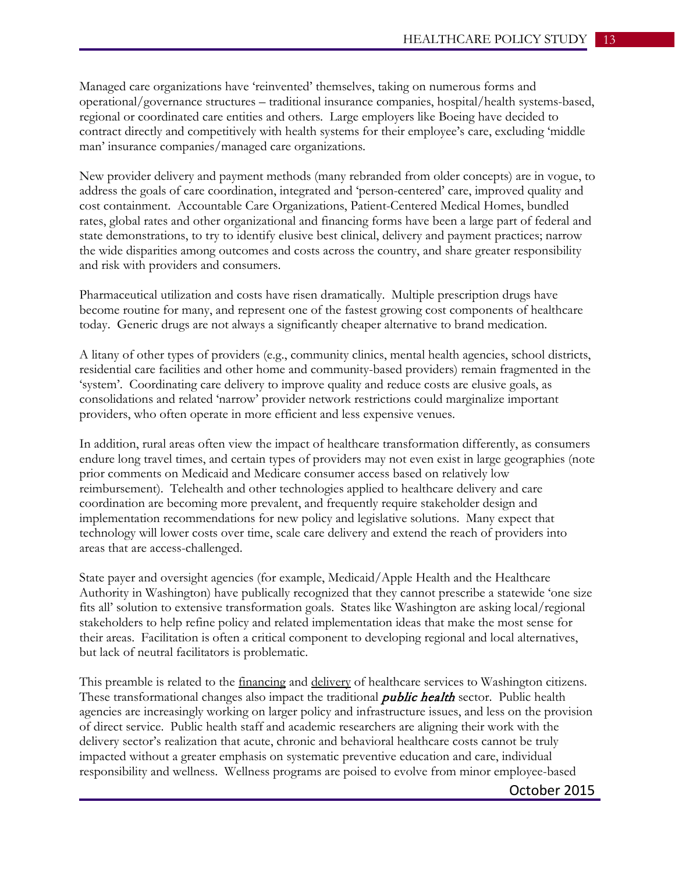Managed care organizations have 'reinvented' themselves, taking on numerous forms and operational/governance structures – traditional insurance companies, hospital/health systems-based, regional or coordinated care entities and others. Large employers like Boeing have decided to contract directly and competitively with health systems for their employee's care, excluding 'middle man' insurance companies/managed care organizations.

New provider delivery and payment methods (many rebranded from older concepts) are in vogue, to address the goals of care coordination, integrated and 'person-centered' care, improved quality and cost containment. Accountable Care Organizations, Patient-Centered Medical Homes, bundled rates, global rates and other organizational and financing forms have been a large part of federal and state demonstrations, to try to identify elusive best clinical, delivery and payment practices; narrow the wide disparities among outcomes and costs across the country, and share greater responsibility and risk with providers and consumers.

Pharmaceutical utilization and costs have risen dramatically. Multiple prescription drugs have become routine for many, and represent one of the fastest growing cost components of healthcare today. Generic drugs are not always a significantly cheaper alternative to brand medication.

A litany of other types of providers (e.g., community clinics, mental health agencies, school districts, residential care facilities and other home and community-based providers) remain fragmented in the 'system'. Coordinating care delivery to improve quality and reduce costs are elusive goals, as consolidations and related 'narrow' provider network restrictions could marginalize important providers, who often operate in more efficient and less expensive venues.

In addition, rural areas often view the impact of healthcare transformation differently, as consumers endure long travel times, and certain types of providers may not even exist in large geographies (note prior comments on Medicaid and Medicare consumer access based on relatively low reimbursement). Telehealth and other technologies applied to healthcare delivery and care coordination are becoming more prevalent, and frequently require stakeholder design and implementation recommendations for new policy and legislative solutions. Many expect that technology will lower costs over time, scale care delivery and extend the reach of providers into areas that are access-challenged.

State payer and oversight agencies (for example, Medicaid/Apple Health and the Healthcare Authority in Washington) have publically recognized that they cannot prescribe a statewide 'one size fits all' solution to extensive transformation goals. States like Washington are asking local/regional stakeholders to help refine policy and related implementation ideas that make the most sense for their areas. Facilitation is often a critical component to developing regional and local alternatives, but lack of neutral facilitators is problematic.

This preamble is related to the *financing* and *delivery* of healthcare services to Washington citizens. These transformational changes also impact the traditional *public health* sector. Public health agencies are increasingly working on larger policy and infrastructure issues, and less on the provision of direct service. Public health staff and academic researchers are aligning their work with the delivery sector's realization that acute, chronic and behavioral healthcare costs cannot be truly impacted without a greater emphasis on systematic preventive education and care, individual responsibility and wellness. Wellness programs are poised to evolve from minor employee-based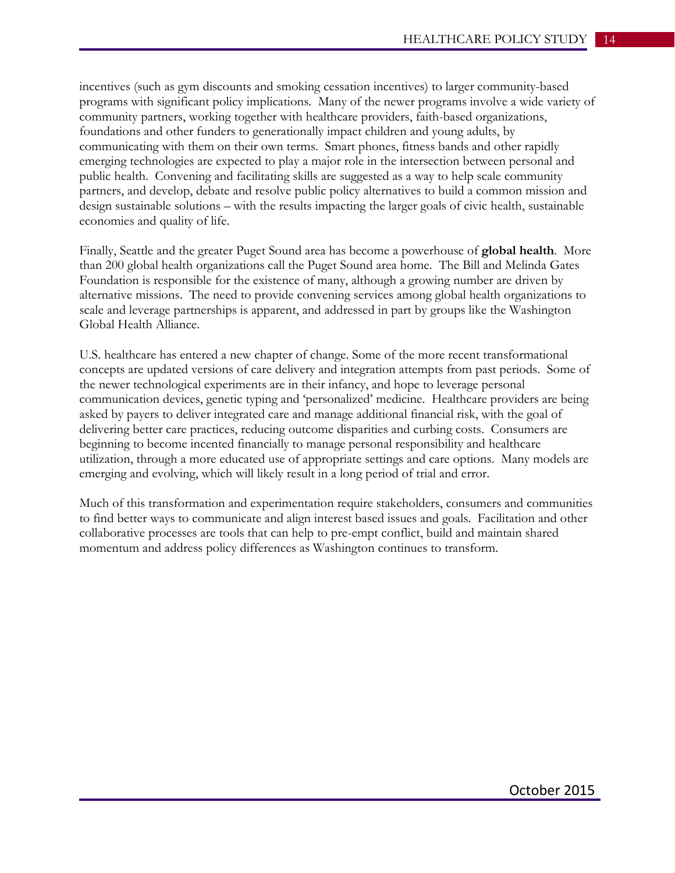incentives (such as gym discounts and smoking cessation incentives) to larger community-based programs with significant policy implications. Many of the newer programs involve a wide variety of community partners, working together with healthcare providers, faith-based organizations, foundations and other funders to generationally impact children and young adults, by communicating with them on their own terms. Smart phones, fitness bands and other rapidly emerging technologies are expected to play a major role in the intersection between personal and public health. Convening and facilitating skills are suggested as a way to help scale community partners, and develop, debate and resolve public policy alternatives to build a common mission and design sustainable solutions – with the results impacting the larger goals of civic health, sustainable economies and quality of life.

Finally, Seattle and the greater Puget Sound area has become a powerhouse of **global health**. More than 200 global health organizations call the Puget Sound area home. The Bill and Melinda Gates Foundation is responsible for the existence of many, although a growing number are driven by alternative missions. The need to provide convening services among global health organizations to scale and leverage partnerships is apparent, and addressed in part by groups like the Washington Global Health Alliance.

U.S. healthcare has entered a new chapter of change. Some of the more recent transformational concepts are updated versions of care delivery and integration attempts from past periods. Some of the newer technological experiments are in their infancy, and hope to leverage personal communication devices, genetic typing and 'personalized' medicine. Healthcare providers are being asked by payers to deliver integrated care and manage additional financial risk, with the goal of delivering better care practices, reducing outcome disparities and curbing costs. Consumers are beginning to become incented financially to manage personal responsibility and healthcare utilization, through a more educated use of appropriate settings and care options. Many models are emerging and evolving, which will likely result in a long period of trial and error.

Much of this transformation and experimentation require stakeholders, consumers and communities to find better ways to communicate and align interest based issues and goals. Facilitation and other collaborative processes are tools that can help to pre-empt conflict, build and maintain shared momentum and address policy differences as Washington continues to transform.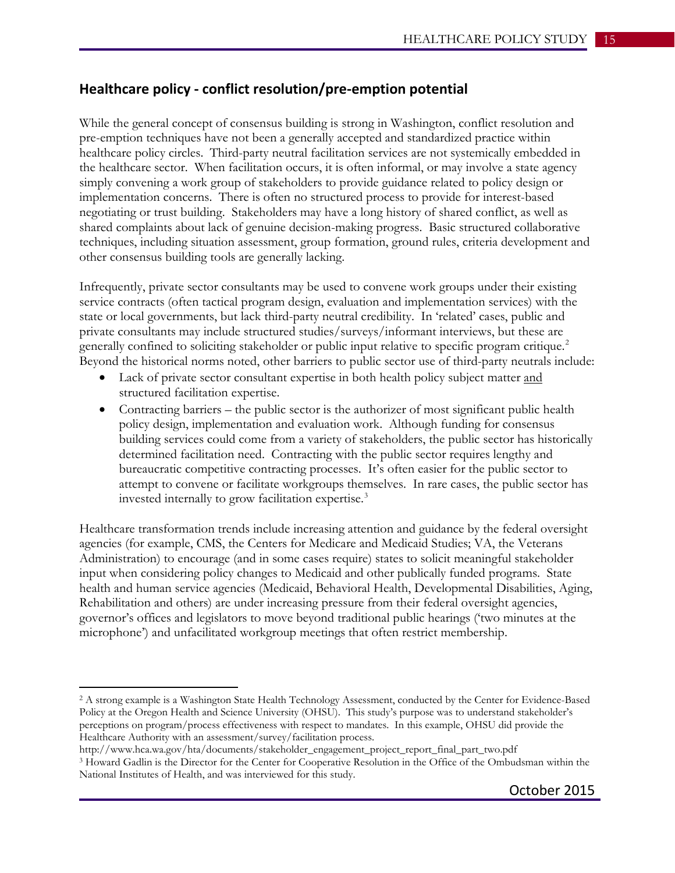## **Healthcare policy - conflict resolution/pre-emption potential**

While the general concept of consensus building is strong in Washington, conflict resolution and pre-emption techniques have not been a generally accepted and standardized practice within healthcare policy circles. Third-party neutral facilitation services are not systemically embedded in the healthcare sector. When facilitation occurs, it is often informal, or may involve a state agency simply convening a work group of stakeholders to provide guidance related to policy design or implementation concerns. There is often no structured process to provide for interest-based negotiating or trust building. Stakeholders may have a long history of shared conflict, as well as shared complaints about lack of genuine decision-making progress. Basic structured collaborative techniques, including situation assessment, group formation, ground rules, criteria development and other consensus building tools are generally lacking.

Infrequently, private sector consultants may be used to convene work groups under their existing service contracts (often tactical program design, evaluation and implementation services) with the state or local governments, but lack third-party neutral credibility. In 'related' cases, public and private consultants may include structured studies/surveys/informant interviews, but these are generally confined to soliciting stakeholder or public input relative to specific program critique.<sup>[2](#page-14-0)</sup> Beyond the historical norms noted, other barriers to public sector use of third-party neutrals include:

- Lack of private sector consultant expertise in both health policy subject matter and structured facilitation expertise.
- Contracting barriers the public sector is the authorizer of most significant public health policy design, implementation and evaluation work. Although funding for consensus building services could come from a variety of stakeholders, the public sector has historically determined facilitation need. Contracting with the public sector requires lengthy and bureaucratic competitive contracting processes. It's often easier for the public sector to attempt to convene or facilitate workgroups themselves. In rare cases, the public sector has invested internally to grow facilitation expertise.<sup>[3](#page-14-1)</sup>

Healthcare transformation trends include increasing attention and guidance by the federal oversight agencies (for example, CMS, the Centers for Medicare and Medicaid Studies; VA, the Veterans Administration) to encourage (and in some cases require) states to solicit meaningful stakeholder input when considering policy changes to Medicaid and other publically funded programs. State health and human service agencies (Medicaid, Behavioral Health, Developmental Disabilities, Aging, Rehabilitation and others) are under increasing pressure from their federal oversight agencies, governor's offices and legislators to move beyond traditional public hearings ('two minutes at the microphone') and unfacilitated workgroup meetings that often restrict membership.

 $\overline{a}$ 

<span id="page-14-0"></span><sup>2</sup> A strong example is a Washington State Health Technology Assessment, conducted by the Center for Evidence-Based Policy at the Oregon Health and Science University (OHSU). This study's purpose was to understand stakeholder's perceptions on program/process effectiveness with respect to mandates. In this example, OHSU did provide the Healthcare Authority with an assessment/survey/facilitation process.

http://www.hca.wa.gov/hta/documents/stakeholder\_engagement\_project\_report\_final\_part\_two.pdf

<span id="page-14-1"></span><sup>3</sup> Howard Gadlin is the Director for the Center for Cooperative Resolution in the Office of the Ombudsman within the National Institutes of Health, and was interviewed for this study.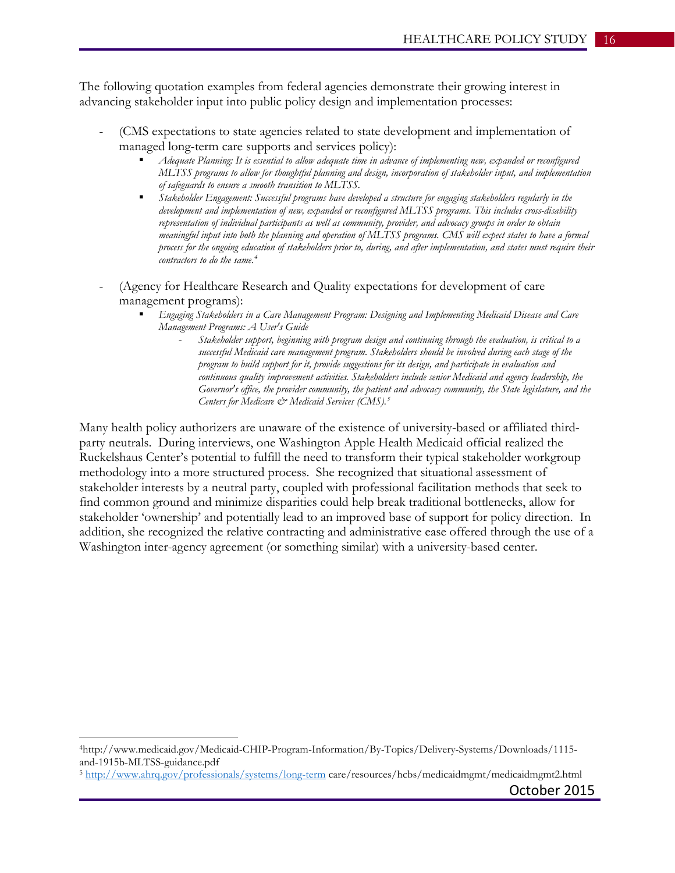The following quotation examples from federal agencies demonstrate their growing interest in advancing stakeholder input into public policy design and implementation processes:

- (CMS expectations to state agencies related to state development and implementation of managed long-term care supports and services policy):
	- *Adequate Planning: It is essential to allow adequate time in advance of implementing new, expanded or reconfigured MLTSS programs to allow for thoughtful planning and design, incorporation of stakeholder input, and implementation of safeguards to ensure a smooth transition to MLTSS.*
	- *Stakeholder Engagement: Successful programs have developed a structure for engaging stakeholders regularly in the development and implementation of new, expanded or reconfigured MLTSS programs. This includes cross-disability representation of individual participants as well as community, provider, and advocacy groups in order to obtain meaningful input into both the planning and operation of MLTSS programs. CMS will expect states to have a formal process for the ongoing education of stakeholders prior to, during, and after implementation, and states must require their contractors to do the same.[4](#page-15-0)*
- (Agency for Healthcare Research and Quality expectations for development of care management programs):
	- *Engaging Stakeholders in a Care Management Program: Designing and Implementing Medicaid Disease and Care Management Programs: A User's Guide*
		- *Stakeholder support, beginning with program design and continuing through the evaluation, is critical to a successful Medicaid care management program. Stakeholders should be involved during each stage of the program to build support for it, provide suggestions for its design, and participate in evaluation and continuous quality improvement activities. Stakeholders include senior Medicaid and agency leadership, the Governor's office, the provider community, the patient and advocacy community, the State legislature, and the Centers for Medicare & Medicaid Services (CMS).[5](#page-15-1)*

Many health policy authorizers are unaware of the existence of university-based or affiliated thirdparty neutrals. During interviews, one Washington Apple Health Medicaid official realized the Ruckelshaus Center's potential to fulfill the need to transform their typical stakeholder workgroup methodology into a more structured process. She recognized that situational assessment of stakeholder interests by a neutral party, coupled with professional facilitation methods that seek to find common ground and minimize disparities could help break traditional bottlenecks, allow for stakeholder 'ownership' and potentially lead to an improved base of support for policy direction. In addition, she recognized the relative contracting and administrative ease offered through the use of a Washington inter-agency agreement (or something similar) with a university-based center.

 $\overline{a}$ 

<span id="page-15-0"></span><sup>4</sup>http://www.medicaid.gov/Medicaid-CHIP-Program-Information/By-Topics/Delivery-Systems/Downloads/1115 and-1915b-MLTSS-guidance.pdf<br><sup>5</sup> <http://www.ahrq.gov/professionals/systems/long-term> care/resources/hcbs/medicaidmgmt/medicaidmgmt2.html

<span id="page-15-1"></span>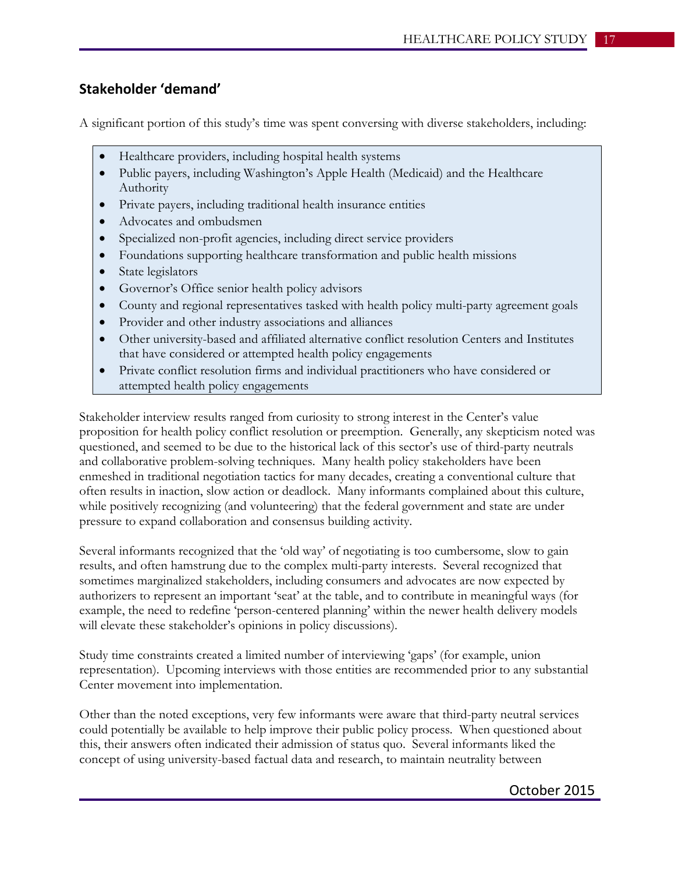## **Stakeholder 'demand'**

A significant portion of this study's time was spent conversing with diverse stakeholders, including:

- Healthcare providers, including hospital health systems
- Public payers, including Washington's Apple Health (Medicaid) and the Healthcare Authority
- Private payers, including traditional health insurance entities
- Advocates and ombudsmen
- Specialized non-profit agencies, including direct service providers
- Foundations supporting healthcare transformation and public health missions
- State legislators
- Governor's Office senior health policy advisors
- County and regional representatives tasked with health policy multi-party agreement goals
- Provider and other industry associations and alliances
- Other university-based and affiliated alternative conflict resolution Centers and Institutes that have considered or attempted health policy engagements
- Private conflict resolution firms and individual practitioners who have considered or attempted health policy engagements

Stakeholder interview results ranged from curiosity to strong interest in the Center's value proposition for health policy conflict resolution or preemption. Generally, any skepticism noted was questioned, and seemed to be due to the historical lack of this sector's use of third-party neutrals and collaborative problem-solving techniques. Many health policy stakeholders have been enmeshed in traditional negotiation tactics for many decades, creating a conventional culture that often results in inaction, slow action or deadlock. Many informants complained about this culture, while positively recognizing (and volunteering) that the federal government and state are under pressure to expand collaboration and consensus building activity.

Several informants recognized that the 'old way' of negotiating is too cumbersome, slow to gain results, and often hamstrung due to the complex multi-party interests. Several recognized that sometimes marginalized stakeholders, including consumers and advocates are now expected by authorizers to represent an important 'seat' at the table, and to contribute in meaningful ways (for example, the need to redefine 'person-centered planning' within the newer health delivery models will elevate these stakeholder's opinions in policy discussions).

Study time constraints created a limited number of interviewing 'gaps' (for example, union representation). Upcoming interviews with those entities are recommended prior to any substantial Center movement into implementation.

Other than the noted exceptions, very few informants were aware that third-party neutral services could potentially be available to help improve their public policy process. When questioned about this, their answers often indicated their admission of status quo. Several informants liked the concept of using university-based factual data and research, to maintain neutrality between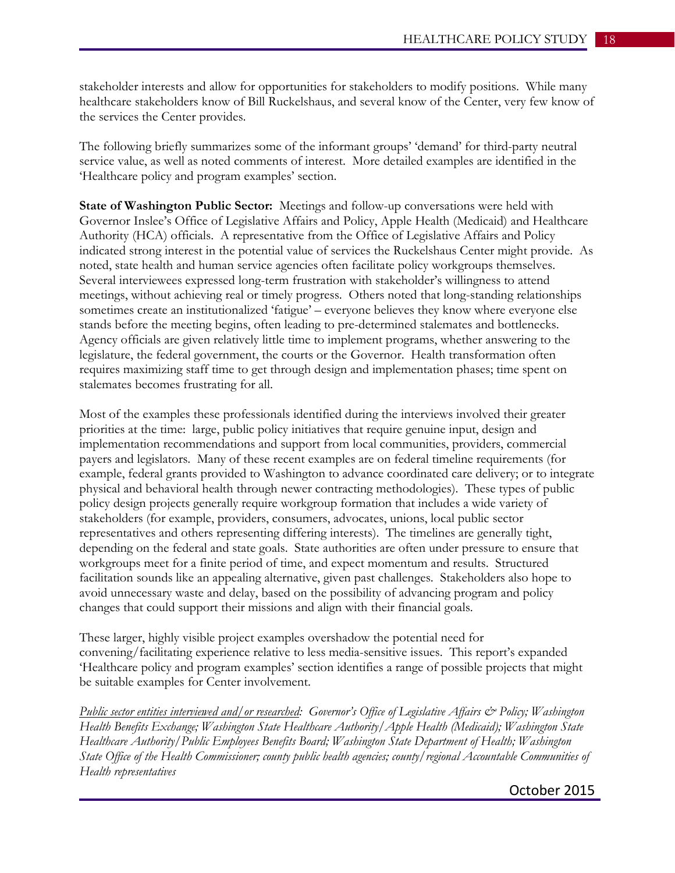stakeholder interests and allow for opportunities for stakeholders to modify positions. While many healthcare stakeholders know of Bill Ruckelshaus, and several know of the Center, very few know of the services the Center provides.

The following briefly summarizes some of the informant groups' 'demand' for third-party neutral service value, as well as noted comments of interest. More detailed examples are identified in the 'Healthcare policy and program examples' section.

**State of Washington Public Sector:** Meetings and follow-up conversations were held with Governor Inslee's Office of Legislative Affairs and Policy, Apple Health (Medicaid) and Healthcare Authority (HCA) officials. A representative from the Office of Legislative Affairs and Policy indicated strong interest in the potential value of services the Ruckelshaus Center might provide. As noted, state health and human service agencies often facilitate policy workgroups themselves. Several interviewees expressed long-term frustration with stakeholder's willingness to attend meetings, without achieving real or timely progress. Others noted that long-standing relationships sometimes create an institutionalized 'fatigue' – everyone believes they know where everyone else stands before the meeting begins, often leading to pre-determined stalemates and bottlenecks. Agency officials are given relatively little time to implement programs, whether answering to the legislature, the federal government, the courts or the Governor. Health transformation often requires maximizing staff time to get through design and implementation phases; time spent on stalemates becomes frustrating for all.

Most of the examples these professionals identified during the interviews involved their greater priorities at the time: large, public policy initiatives that require genuine input, design and implementation recommendations and support from local communities, providers, commercial payers and legislators. Many of these recent examples are on federal timeline requirements (for example, federal grants provided to Washington to advance coordinated care delivery; or to integrate physical and behavioral health through newer contracting methodologies). These types of public policy design projects generally require workgroup formation that includes a wide variety of stakeholders (for example, providers, consumers, advocates, unions, local public sector representatives and others representing differing interests). The timelines are generally tight, depending on the federal and state goals. State authorities are often under pressure to ensure that workgroups meet for a finite period of time, and expect momentum and results. Structured facilitation sounds like an appealing alternative, given past challenges. Stakeholders also hope to avoid unnecessary waste and delay, based on the possibility of advancing program and policy changes that could support their missions and align with their financial goals.

These larger, highly visible project examples overshadow the potential need for convening/facilitating experience relative to less media-sensitive issues. This report's expanded 'Healthcare policy and program examples' section identifies a range of possible projects that might be suitable examples for Center involvement.

*Public sector entities interviewed and/or researched: Governor's Office of Legislative Affairs*  $\mathcal{O}$  *Policy; Washington Health Benefits Exchange; Washington State Healthcare Authority/Apple Health (Medicaid); Washington State Healthcare Authority/Public Employees Benefits Board; Washington State Department of Health; Washington State Office of the Health Commissioner; county public health agencies; county/regional Accountable Communities of Health representatives*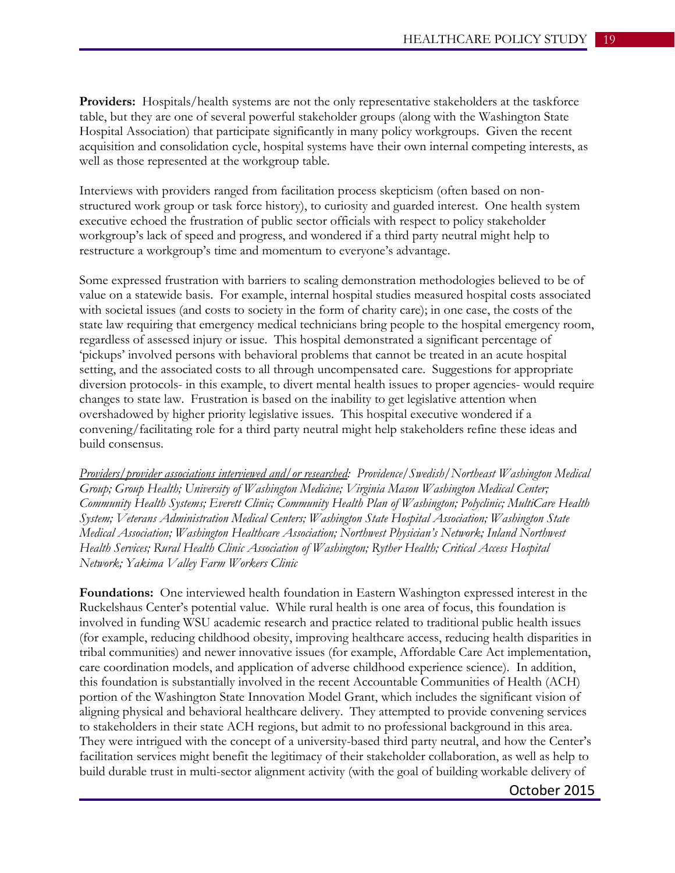**Providers:** Hospitals/health systems are not the only representative stakeholders at the taskforce table, but they are one of several powerful stakeholder groups (along with the Washington State Hospital Association) that participate significantly in many policy workgroups. Given the recent acquisition and consolidation cycle, hospital systems have their own internal competing interests, as well as those represented at the workgroup table.

Interviews with providers ranged from facilitation process skepticism (often based on nonstructured work group or task force history), to curiosity and guarded interest. One health system executive echoed the frustration of public sector officials with respect to policy stakeholder workgroup's lack of speed and progress, and wondered if a third party neutral might help to restructure a workgroup's time and momentum to everyone's advantage.

Some expressed frustration with barriers to scaling demonstration methodologies believed to be of value on a statewide basis. For example, internal hospital studies measured hospital costs associated with societal issues (and costs to society in the form of charity care); in one case, the costs of the state law requiring that emergency medical technicians bring people to the hospital emergency room, regardless of assessed injury or issue. This hospital demonstrated a significant percentage of 'pickups' involved persons with behavioral problems that cannot be treated in an acute hospital setting, and the associated costs to all through uncompensated care. Suggestions for appropriate diversion protocols- in this example, to divert mental health issues to proper agencies- would require changes to state law. Frustration is based on the inability to get legislative attention when overshadowed by higher priority legislative issues. This hospital executive wondered if a convening/facilitating role for a third party neutral might help stakeholders refine these ideas and build consensus.

*Providers/provider associations interviewed and/or researched: Providence/Swedish/Northeast Washington Medical Group; Group Health; University of Washington Medicine; Virginia Mason Washington Medical Center; Community Health Systems; Everett Clinic; Community Health Plan of Washington; Polyclinic; MultiCare Health System; Veterans Administration Medical Centers; Washington State Hospital Association; Washington State Medical Association; Washington Healthcare Association; Northwest Physician's Network; Inland Northwest Health Services; Rural Health Clinic Association of Washington; Ryther Health; Critical Access Hospital Network; Yakima Valley Farm Workers Clinic*

**Foundations:** One interviewed health foundation in Eastern Washington expressed interest in the Ruckelshaus Center's potential value. While rural health is one area of focus, this foundation is involved in funding WSU academic research and practice related to traditional public health issues (for example, reducing childhood obesity, improving healthcare access, reducing health disparities in tribal communities) and newer innovative issues (for example, Affordable Care Act implementation, care coordination models, and application of adverse childhood experience science). In addition, this foundation is substantially involved in the recent Accountable Communities of Health (ACH) portion of the Washington State Innovation Model Grant, which includes the significant vision of aligning physical and behavioral healthcare delivery. They attempted to provide convening services to stakeholders in their state ACH regions, but admit to no professional background in this area. They were intrigued with the concept of a university-based third party neutral, and how the Center's facilitation services might benefit the legitimacy of their stakeholder collaboration, as well as help to build durable trust in multi-sector alignment activity (with the goal of building workable delivery of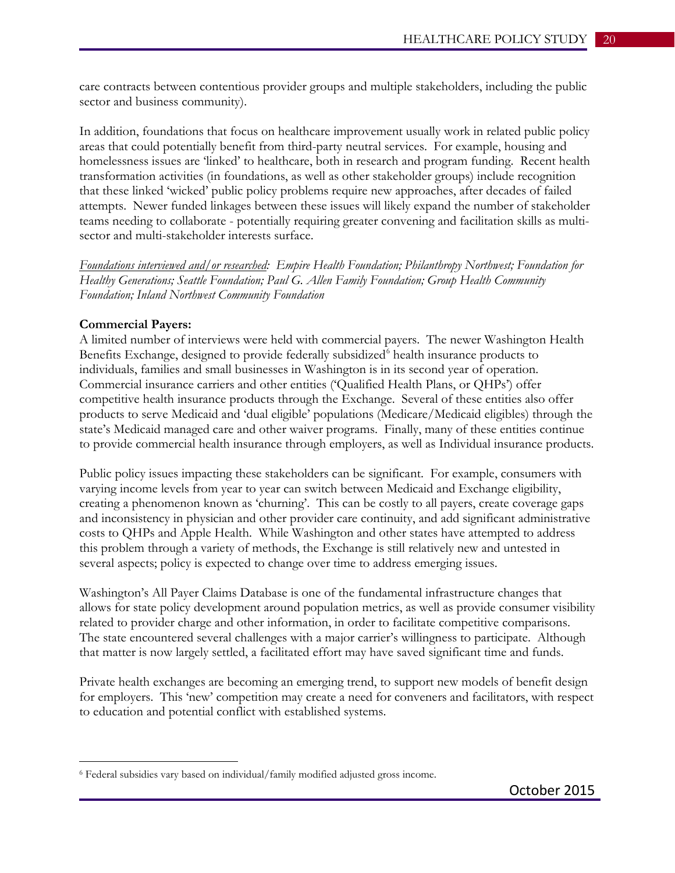care contracts between contentious provider groups and multiple stakeholders, including the public sector and business community).

In addition, foundations that focus on healthcare improvement usually work in related public policy areas that could potentially benefit from third-party neutral services. For example, housing and homelessness issues are 'linked' to healthcare, both in research and program funding. Recent health transformation activities (in foundations, as well as other stakeholder groups) include recognition that these linked 'wicked' public policy problems require new approaches, after decades of failed attempts. Newer funded linkages between these issues will likely expand the number of stakeholder teams needing to collaborate - potentially requiring greater convening and facilitation skills as multisector and multi-stakeholder interests surface.

*Foundations interviewed and/or researched: Empire Health Foundation; Philanthropy Northwest; Foundation for Healthy Generations; Seattle Foundation; Paul G. Allen Family Foundation; Group Health Community Foundation; Inland Northwest Community Foundation*

#### **Commercial Payers:**

 $\overline{a}$ 

A limited number of interviews were held with commercial payers. The newer Washington Health Benefits Exchange, designed to provide federally subsidized<sup>[6](#page-19-0)</sup> health insurance products to individuals, families and small businesses in Washington is in its second year of operation. Commercial insurance carriers and other entities ('Qualified Health Plans, or QHPs') offer competitive health insurance products through the Exchange. Several of these entities also offer products to serve Medicaid and 'dual eligible' populations (Medicare/Medicaid eligibles) through the state's Medicaid managed care and other waiver programs. Finally, many of these entities continue to provide commercial health insurance through employers, as well as Individual insurance products.

Public policy issues impacting these stakeholders can be significant. For example, consumers with varying income levels from year to year can switch between Medicaid and Exchange eligibility, creating a phenomenon known as 'churning'. This can be costly to all payers, create coverage gaps and inconsistency in physician and other provider care continuity, and add significant administrative costs to QHPs and Apple Health. While Washington and other states have attempted to address this problem through a variety of methods, the Exchange is still relatively new and untested in several aspects; policy is expected to change over time to address emerging issues.

Washington's All Payer Claims Database is one of the fundamental infrastructure changes that allows for state policy development around population metrics, as well as provide consumer visibility related to provider charge and other information, in order to facilitate competitive comparisons. The state encountered several challenges with a major carrier's willingness to participate. Although that matter is now largely settled, a facilitated effort may have saved significant time and funds.

Private health exchanges are becoming an emerging trend, to support new models of benefit design for employers. This 'new' competition may create a need for conveners and facilitators, with respect to education and potential conflict with established systems.

<span id="page-19-0"></span><sup>6</sup> Federal subsidies vary based on individual/family modified adjusted gross income.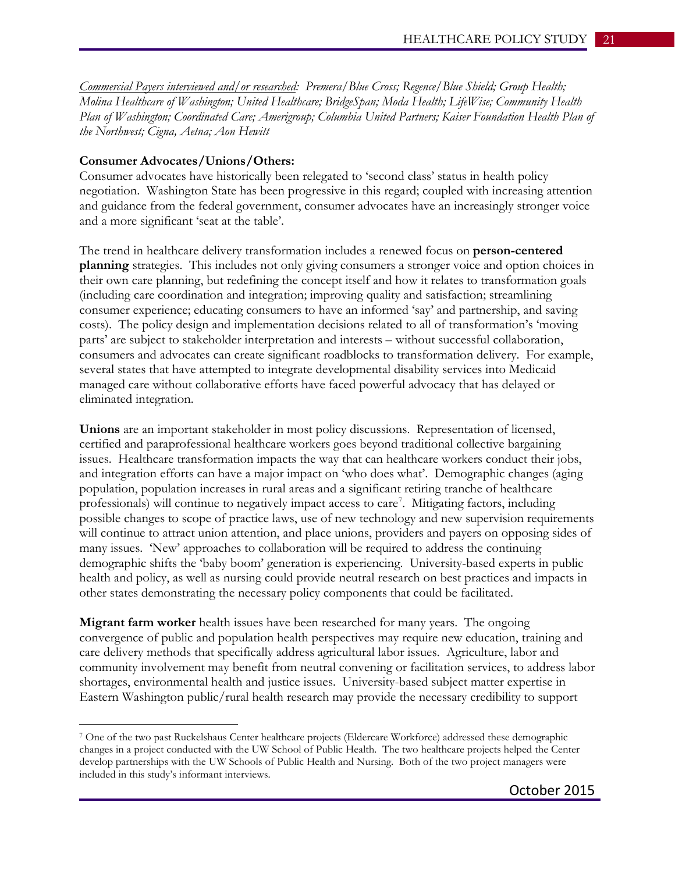*Commercial Payers interviewed and/or researched: Premera/Blue Cross; Regence/Blue Shield; Group Health; Molina Healthcare of Washington; United Healthcare; BridgeSpan; Moda Health; LifeWise; Community Health Plan of Washington; Coordinated Care; Amerigroup; Columbia United Partners; Kaiser Foundation Health Plan of the Northwest; Cigna, Aetna; Aon Hewitt*

#### **Consumer Advocates/Unions/Others:**

 $\overline{a}$ 

Consumer advocates have historically been relegated to 'second class' status in health policy negotiation. Washington State has been progressive in this regard; coupled with increasing attention and guidance from the federal government, consumer advocates have an increasingly stronger voice and a more significant 'seat at the table'.

The trend in healthcare delivery transformation includes a renewed focus on **person-centered planning** strategies. This includes not only giving consumers a stronger voice and option choices in their own care planning, but redefining the concept itself and how it relates to transformation goals (including care coordination and integration; improving quality and satisfaction; streamlining consumer experience; educating consumers to have an informed 'say' and partnership, and saving costs). The policy design and implementation decisions related to all of transformation's 'moving parts' are subject to stakeholder interpretation and interests – without successful collaboration, consumers and advocates can create significant roadblocks to transformation delivery. For example, several states that have attempted to integrate developmental disability services into Medicaid managed care without collaborative efforts have faced powerful advocacy that has delayed or eliminated integration.

**Unions** are an important stakeholder in most policy discussions. Representation of licensed, certified and paraprofessional healthcare workers goes beyond traditional collective bargaining issues. Healthcare transformation impacts the way that can healthcare workers conduct their jobs, and integration efforts can have a major impact on 'who does what'. Demographic changes (aging population, population increases in rural areas and a significant retiring tranche of healthcare professionals) will continue to negatively impact access to care<sup>[7](#page-20-0)</sup>. Mitigating factors, including possible changes to scope of practice laws, use of new technology and new supervision requirements will continue to attract union attention, and place unions, providers and payers on opposing sides of many issues. 'New' approaches to collaboration will be required to address the continuing demographic shifts the 'baby boom' generation is experiencing. University-based experts in public health and policy, as well as nursing could provide neutral research on best practices and impacts in other states demonstrating the necessary policy components that could be facilitated.

**Migrant farm worker** health issues have been researched for many years. The ongoing convergence of public and population health perspectives may require new education, training and care delivery methods that specifically address agricultural labor issues. Agriculture, labor and community involvement may benefit from neutral convening or facilitation services, to address labor shortages, environmental health and justice issues. University-based subject matter expertise in Eastern Washington public/rural health research may provide the necessary credibility to support

<span id="page-20-0"></span><sup>7</sup> One of the two past Ruckelshaus Center healthcare projects (Eldercare Workforce) addressed these demographic changes in a project conducted with the UW School of Public Health. The two healthcare projects helped the Center develop partnerships with the UW Schools of Public Health and Nursing. Both of the two project managers were included in this study's informant interviews.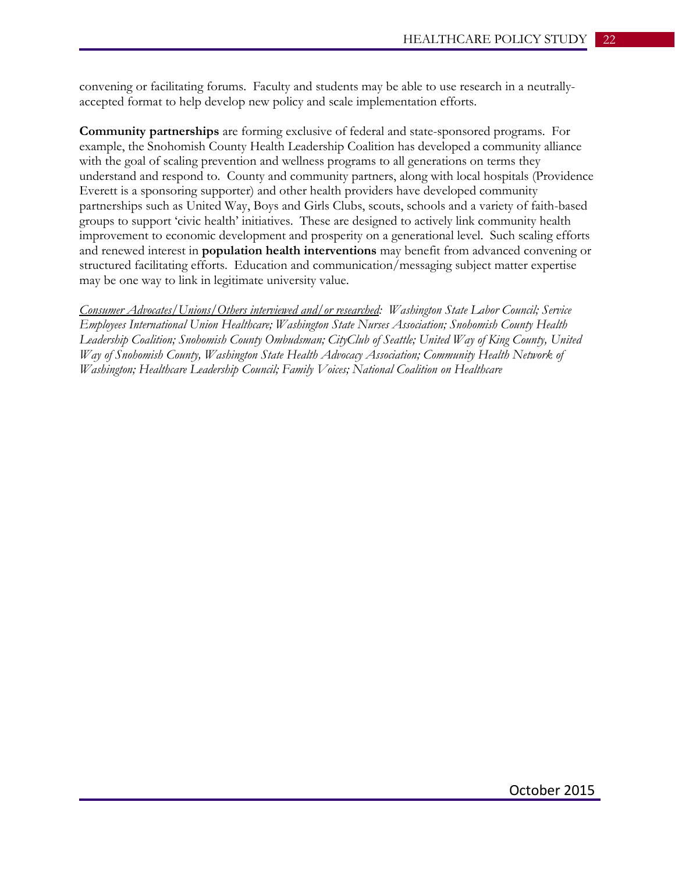convening or facilitating forums. Faculty and students may be able to use research in a neutrallyaccepted format to help develop new policy and scale implementation efforts.

**Community partnerships** are forming exclusive of federal and state-sponsored programs. For example, the Snohomish County Health Leadership Coalition has developed a community alliance with the goal of scaling prevention and wellness programs to all generations on terms they understand and respond to. County and community partners, along with local hospitals (Providence Everett is a sponsoring supporter) and other health providers have developed community partnerships such as United Way, Boys and Girls Clubs, scouts, schools and a variety of faith-based groups to support 'civic health' initiatives. These are designed to actively link community health improvement to economic development and prosperity on a generational level. Such scaling efforts and renewed interest in **population health interventions** may benefit from advanced convening or structured facilitating efforts. Education and communication/messaging subject matter expertise may be one way to link in legitimate university value.

*Consumer Advocates/Unions/Others interviewed and/or researched: Washington State Labor Council; Service Employees International Union Healthcare; Washington State Nurses Association; Snohomish County Health Leadership Coalition; Snohomish County Ombudsman; CityClub of Seattle; United Way of King County, United Way of Snohomish County, Washington State Health Advocacy Association; Community Health Network of Washington; Healthcare Leadership Council; Family Voices; National Coalition on Healthcare*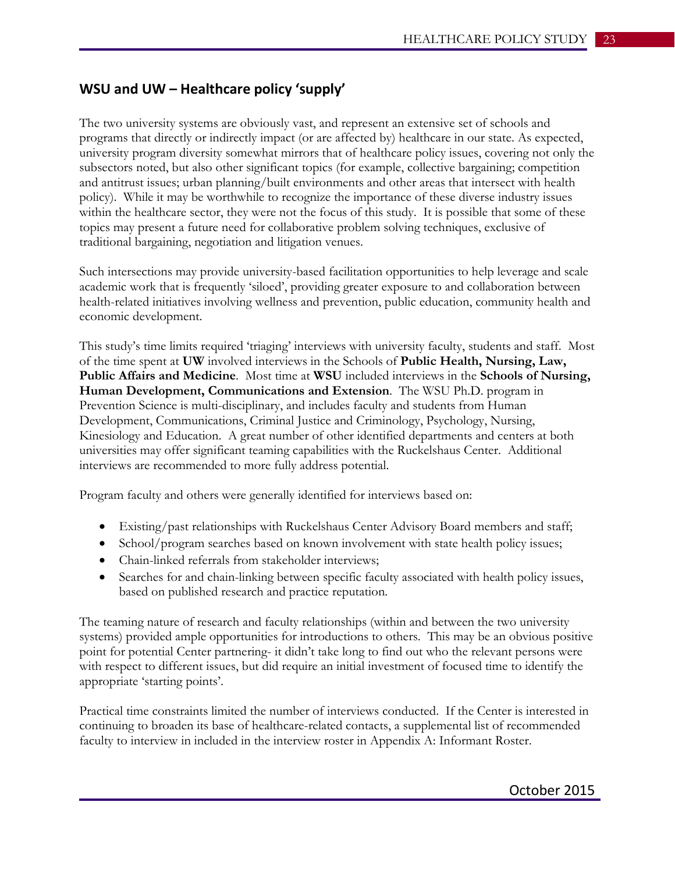## **WSU and UW – Healthcare policy 'supply'**

The two university systems are obviously vast, and represent an extensive set of schools and programs that directly or indirectly impact (or are affected by) healthcare in our state. As expected, university program diversity somewhat mirrors that of healthcare policy issues, covering not only the subsectors noted, but also other significant topics (for example, collective bargaining; competition and antitrust issues; urban planning/built environments and other areas that intersect with health policy). While it may be worthwhile to recognize the importance of these diverse industry issues within the healthcare sector, they were not the focus of this study. It is possible that some of these topics may present a future need for collaborative problem solving techniques, exclusive of traditional bargaining, negotiation and litigation venues.

Such intersections may provide university-based facilitation opportunities to help leverage and scale academic work that is frequently 'siloed', providing greater exposure to and collaboration between health-related initiatives involving wellness and prevention, public education, community health and economic development.

This study's time limits required 'triaging' interviews with university faculty, students and staff. Most of the time spent at **UW** involved interviews in the Schools of **Public Health, Nursing, Law, Public Affairs and Medicine**. Most time at **WSU** included interviews in the **Schools of Nursing, Human Development, Communications and Extension**. The WSU Ph.D. program in Prevention Science is multi-disciplinary, and includes faculty and students from Human Development, Communications, Criminal Justice and Criminology, Psychology, Nursing, Kinesiology and Education. A great number of other identified departments and centers at both universities may offer significant teaming capabilities with the Ruckelshaus Center. Additional interviews are recommended to more fully address potential.

Program faculty and others were generally identified for interviews based on:

- Existing/past relationships with Ruckelshaus Center Advisory Board members and staff;
- School/program searches based on known involvement with state health policy issues;
- Chain-linked referrals from stakeholder interviews;
- Searches for and chain-linking between specific faculty associated with health policy issues, based on published research and practice reputation.

The teaming nature of research and faculty relationships (within and between the two university systems) provided ample opportunities for introductions to others. This may be an obvious positive point for potential Center partnering- it didn't take long to find out who the relevant persons were with respect to different issues, but did require an initial investment of focused time to identify the appropriate 'starting points'.

Practical time constraints limited the number of interviews conducted. If the Center is interested in continuing to broaden its base of healthcare-related contacts, a supplemental list of recommended faculty to interview in included in the interview roster in Appendix A: Informant Roster.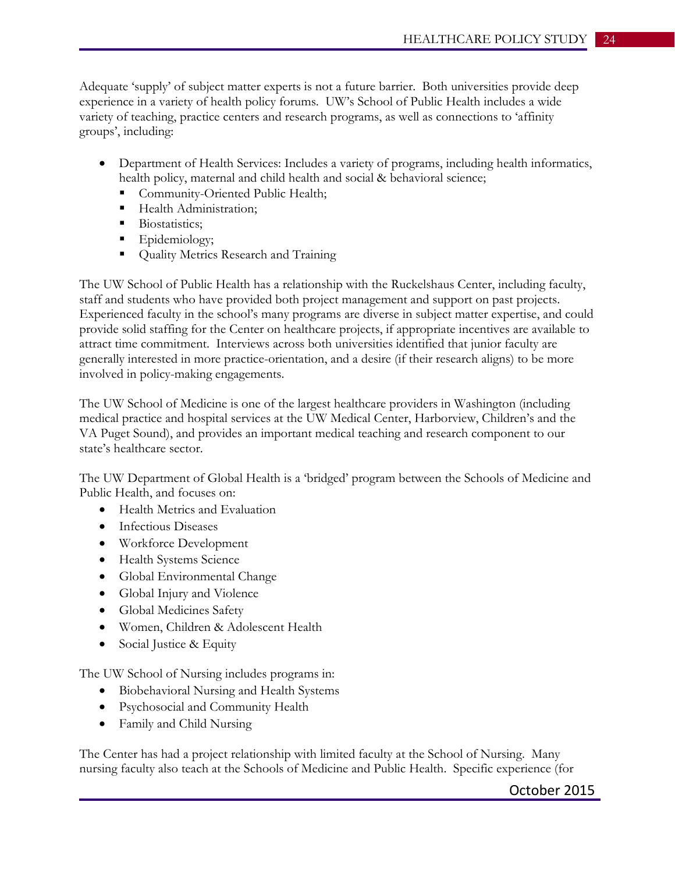Adequate 'supply' of subject matter experts is not a future barrier. Both universities provide deep experience in a variety of health policy forums. UW's School of Public Health includes a wide variety of teaching, practice centers and research programs, as well as connections to 'affinity groups', including:

- Department of Health Services: Includes a variety of programs, including health informatics, health policy, maternal and child health and social & behavioral science;
	- **Community-Oriented Public Health;**
	- Health Administration:
	- Biostatistics:
	- **Epidemiology**;
	- **Quality Metrics Research and Training**

The UW School of Public Health has a relationship with the Ruckelshaus Center, including faculty, staff and students who have provided both project management and support on past projects. Experienced faculty in the school's many programs are diverse in subject matter expertise, and could provide solid staffing for the Center on healthcare projects, if appropriate incentives are available to attract time commitment. Interviews across both universities identified that junior faculty are generally interested in more practice-orientation, and a desire (if their research aligns) to be more involved in policy-making engagements.

The UW School of Medicine is one of the largest healthcare providers in Washington (including medical practice and hospital services at the UW Medical Center, Harborview, Children's and the VA Puget Sound), and provides an important medical teaching and research component to our state's healthcare sector.

The UW Department of Global Health is a 'bridged' program between the Schools of Medicine and Public Health, and focuses on:

- Health Metrics and Evaluation
- Infectious Diseases
- Workforce Development
- Health Systems Science
- Global Environmental Change
- Global Injury and Violence
- Global Medicines Safety
- Women, Children & Adolescent Health
- Social Justice & Equity

The UW School of Nursing includes programs in:

- Biobehavioral Nursing and Health Systems
- Psychosocial and Community Health
- Family and Child Nursing

The Center has had a project relationship with limited faculty at the School of Nursing. Many nursing faculty also teach at the Schools of Medicine and Public Health. Specific experience (for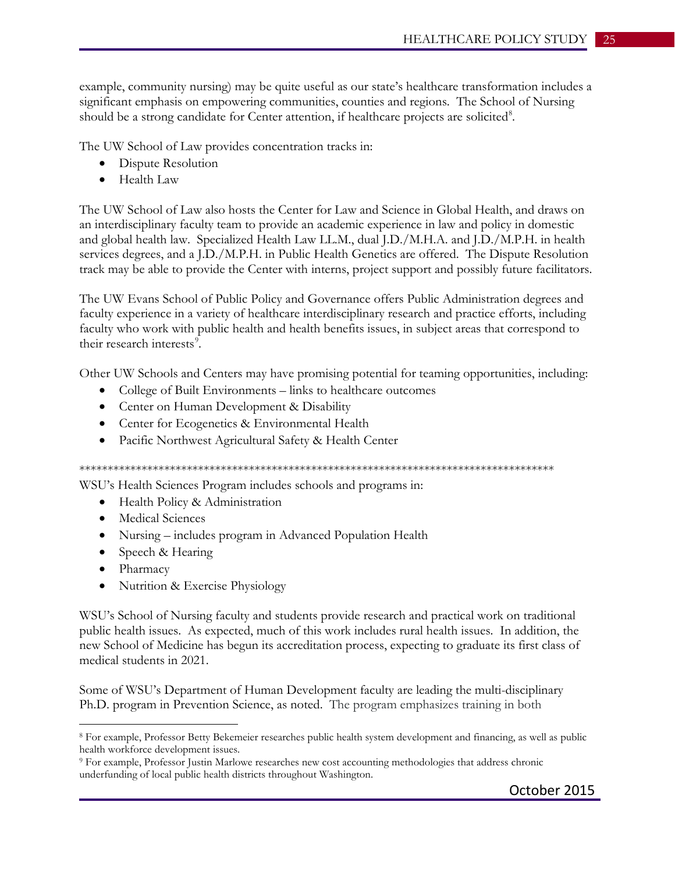example, community nursing) may be quite useful as our state's healthcare transformation includes a significant emphasis on empowering communities, counties and regions. The School of Nursing should be a strong candidate for Center attention, if healthcare projects are solicited<sup>[8](#page-24-0)</sup>.

The UW School of Law provides concentration tracks in:

- Dispute Resolution
- Health Law

The UW School of Law also hosts the Center for Law and Science in Global Health, and draws on an interdisciplinary faculty team to provide an academic experience in law and policy in domestic and global health law. Specialized Health Law LL.M., dual J.D./M.H.A. and J.D./M.P.H. in health services degrees, and a J.D./M.P.H. in Public Health Genetics are offered. The Dispute Resolution track may be able to provide the Center with interns, project support and possibly future facilitators.

The UW Evans School of Public Policy and Governance offers Public Administration degrees and faculty experience in a variety of healthcare interdisciplinary research and practice efforts, including faculty who work with public health and health benefits issues, in subject areas that correspond to their research interests<sup>[9](#page-24-1)</sup>.

Other UW Schools and Centers may have promising potential for teaming opportunities, including:

- College of Built Environments links to healthcare outcomes
- Center on Human Development & Disability
- Center for Ecogenetics & Environmental Health
- Pacific Northwest Agricultural Safety & Health Center

\*\*\*\*\*\*\*\*\*\*\*\*\*\*\*\*\*\*\*\*\*\*\*\*\*\*\*\*\*\*\*\*\*\*\*\*\*\*\*\*\*\*\*\*\*\*\*\*\*\*\*\*\*\*\*\*\*\*\*\*\*\*\*\*\*\*\*\*\*\*\*\*\*\*\*\*\*\*\*\*\*\*\*\*

WSU's Health Sciences Program includes schools and programs in:

- Health Policy & Administration
- Medical Sciences
- Nursing includes program in Advanced Population Health
- Speech & Hearing
- Pharmacy

 $\overline{a}$ 

• Nutrition & Exercise Physiology

WSU's School of Nursing faculty and students provide research and practical work on traditional public health issues. As expected, much of this work includes rural health issues. In addition, the new School of Medicine has begun its accreditation process, expecting to graduate its first class of medical students in 2021.

Some of WSU's Department of Human Development faculty are leading the multi-disciplinary Ph.D. program in Prevention Science, as noted. The program emphasizes training in both

<span id="page-24-0"></span><sup>8</sup> For example, Professor Betty Bekemeier researches public health system development and financing, as well as public health workforce development issues.

<span id="page-24-1"></span><sup>9</sup> For example, Professor Justin Marlowe researches new cost accounting methodologies that address chronic underfunding of local public health districts throughout Washington.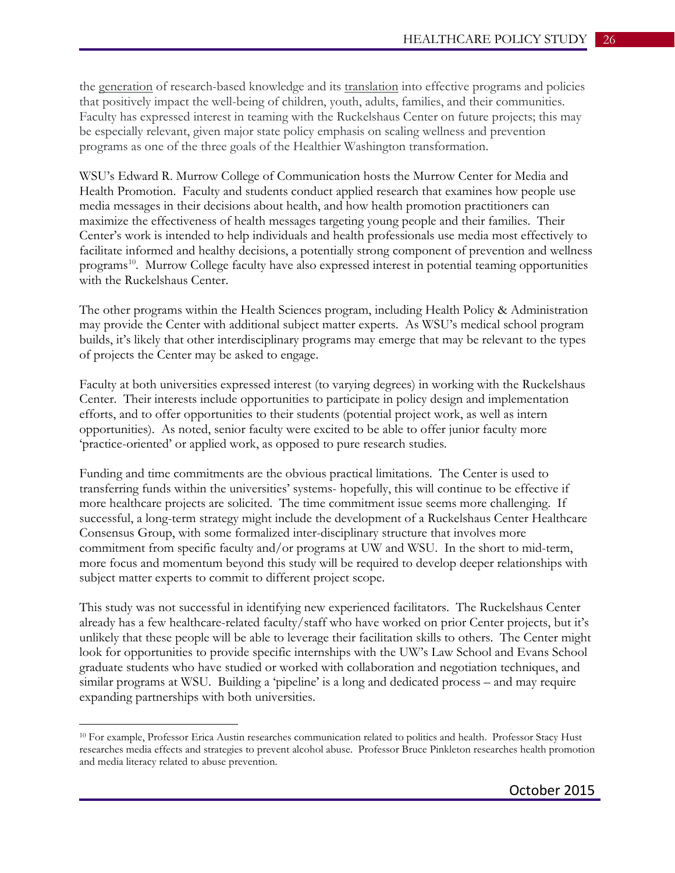the generation of research-based knowledge and its translation into effective programs and policies that positively impact the well-being of children, youth, adults, families, and their communities. Faculty has expressed interest in teaming with the Ruckelshaus Center on future projects; this may be especially relevant, given major state policy emphasis on scaling wellness and prevention programs as one of the three goals of the Healthier Washington transformation.

WSU's Edward R. Murrow College of Communication hosts the Murrow Center for Media and Health Promotion. Faculty and students conduct applied research that examines how people use media messages in their decisions about health, and how health promotion practitioners can maximize the effectiveness of health messages targeting young people and their families. Their Center's work is intended to help individuals and health professionals use media most effectively to facilitate informed and healthy decisions, a potentially strong component of prevention and wellness programs<sup>[10](#page-25-0)</sup>. Murrow College faculty have also expressed interest in potential teaming opportunities with the Ruckelshaus Center.

The other programs within the Health Sciences program, including Health Policy & Administration may provide the Center with additional subject matter experts. As WSU's medical school program builds, it's likely that other interdisciplinary programs may emerge that may be relevant to the types of projects the Center may be asked to engage.

Faculty at both universities expressed interest (to varying degrees) in working with the Ruckelshaus Center. Their interests include opportunities to participate in policy design and implementation efforts, and to offer opportunities to their students (potential project work, as well as intern opportunities). As noted, senior faculty were excited to be able to offer junior faculty more 'practice-oriented' or applied work, as opposed to pure research studies.

Funding and time commitments are the obvious practical limitations. The Center is used to transferring funds within the universities' systems- hopefully, this will continue to be effective if more healthcare projects are solicited. The time commitment issue seems more challenging. If successful, a long-term strategy might include the development of a Ruckelshaus Center Healthcare Consensus Group, with some formalized inter-disciplinary structure that involves more commitment from specific faculty and/or programs at UW and WSU. In the short to mid-term, more focus and momentum beyond this study will be required to develop deeper relationships with subject matter experts to commit to different project scope.

This study was not successful in identifying new experienced facilitators. The Ruckelshaus Center already has a few healthcare-related faculty/staff who have worked on prior Center projects, but it's unlikely that these people will be able to leverage their facilitation skills to others. The Center might look for opportunities to provide specific internships with the UW's Law School and Evans School graduate students who have studied or worked with collaboration and negotiation techniques, and similar programs at WSU. Building a 'pipeline' is a long and dedicated process – and may require expanding partnerships with both universities.

 $\overline{a}$ 

<span id="page-25-0"></span><sup>&</sup>lt;sup>10</sup> For example, Professor Erica Austin researches communication related to politics and health. Professor Stacy Hust researches media effects and strategies to prevent alcohol abuse. Professor Bruce Pinkleton researches health promotion and media literacy related to abuse prevention.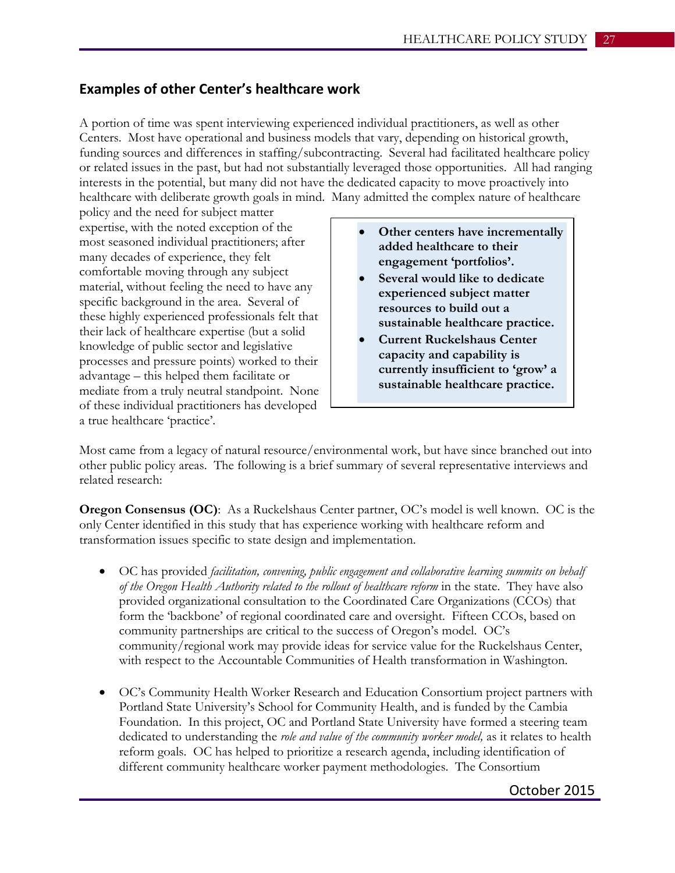## **Examples of other Center's healthcare work**

A portion of time was spent interviewing experienced individual practitioners, as well as other Centers. Most have operational and business models that vary, depending on historical growth, funding sources and differences in staffing/subcontracting. Several had facilitated healthcare policy or related issues in the past, but had not substantially leveraged those opportunities. All had ranging interests in the potential, but many did not have the dedicated capacity to move proactively into healthcare with deliberate growth goals in mind. Many admitted the complex nature of healthcare

policy and the need for subject matter expertise, with the noted exception of the most seasoned individual practitioners; after many decades of experience, they felt comfortable moving through any subject material, without feeling the need to have any specific background in the area. Several of these highly experienced professionals felt that their lack of healthcare expertise (but a solid knowledge of public sector and legislative processes and pressure points) worked to their advantage – this helped them facilitate or mediate from a truly neutral standpoint. None of these individual practitioners has developed a true healthcare 'practice'.

- **Other centers have incrementally added healthcare to their engagement 'portfolios'.**
- **Several would like to dedicate experienced subject matter resources to build out a sustainable healthcare practice.**
- **Current Ruckelshaus Center capacity and capability is currently insufficient to 'grow' a sustainable healthcare practice.**

Most came from a legacy of natural resource/environmental work, but have since branched out into other public policy areas. The following is a brief summary of several representative interviews and related research:

**Oregon Consensus (OC)**: As a Ruckelshaus Center partner, OC's model is well known. OC is the only Center identified in this study that has experience working with healthcare reform and transformation issues specific to state design and implementation.

- OC has provided *facilitation, convening, public engagement and collaborative learning summits on behalf of the Oregon Health Authority related to the rollout of healthcare reform* in the state. They have also provided organizational consultation to the Coordinated Care Organizations (CCOs) that form the 'backbone' of regional coordinated care and oversight. Fifteen CCOs, based on community partnerships are critical to the success of Oregon's model. OC's community/regional work may provide ideas for service value for the Ruckelshaus Center, with respect to the Accountable Communities of Health transformation in Washington.
- OC's Community Health Worker Research and Education Consortium project partners with Portland State University's School for Community Health, and is funded by the Cambia Foundation. In this project, OC and Portland State University have formed a steering team dedicated to understanding the *role and value of the community worker model,* as it relates to health reform goals. OC has helped to prioritize a research agenda, including identification of different community healthcare worker payment methodologies. The Consortium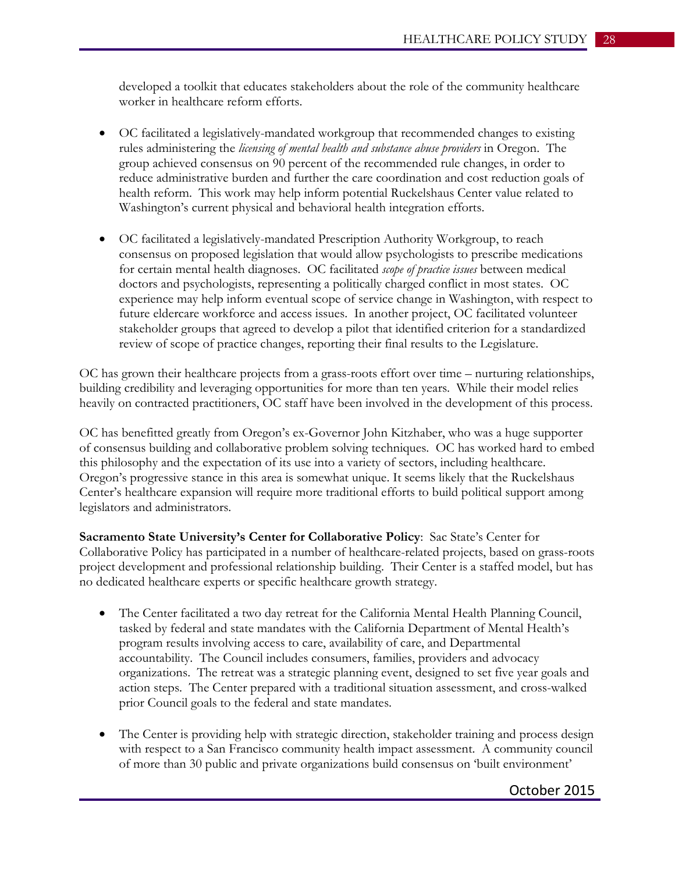developed a toolkit that educates stakeholders about the role of the community healthcare worker in healthcare reform efforts.

- OC facilitated a legislatively-mandated workgroup that recommended changes to existing rules administering the *licensing of mental health and substance abuse providers* in Oregon. The group achieved consensus on 90 percent of the recommended rule changes, in order to reduce administrative burden and further the care coordination and cost reduction goals of health reform. This work may help inform potential Ruckelshaus Center value related to Washington's current physical and behavioral health integration efforts.
- OC facilitated a legislatively-mandated Prescription Authority Workgroup, to reach consensus on proposed legislation that would allow psychologists to prescribe medications for certain mental health diagnoses. OC facilitated *scope of practice issues* between medical doctors and psychologists, representing a politically charged conflict in most states. OC experience may help inform eventual scope of service change in Washington, with respect to future eldercare workforce and access issues. In another project, OC facilitated volunteer stakeholder groups that agreed to develop a pilot that identified criterion for a standardized review of scope of practice changes, reporting their final results to the Legislature.

OC has grown their healthcare projects from a grass-roots effort over time – nurturing relationships, building credibility and leveraging opportunities for more than ten years. While their model relies heavily on contracted practitioners, OC staff have been involved in the development of this process.

OC has benefitted greatly from Oregon's ex-Governor John Kitzhaber, who was a huge supporter of consensus building and collaborative problem solving techniques. OC has worked hard to embed this philosophy and the expectation of its use into a variety of sectors, including healthcare. Oregon's progressive stance in this area is somewhat unique. It seems likely that the Ruckelshaus Center's healthcare expansion will require more traditional efforts to build political support among legislators and administrators.

**Sacramento State University's Center for Collaborative Policy**: Sac State's Center for Collaborative Policy has participated in a number of healthcare-related projects, based on grass-roots project development and professional relationship building. Their Center is a staffed model, but has no dedicated healthcare experts or specific healthcare growth strategy.

- The Center facilitated a two day retreat for the California Mental Health Planning Council, tasked by federal and state mandates with the California Department of Mental Health's program results involving access to care, availability of care, and Departmental accountability. The Council includes consumers, families, providers and advocacy organizations. The retreat was a strategic planning event, designed to set five year goals and action steps. The Center prepared with a traditional situation assessment, and cross-walked prior Council goals to the federal and state mandates.
- The Center is providing help with strategic direction, stakeholder training and process design with respect to a San Francisco community health impact assessment. A community council of more than 30 public and private organizations build consensus on 'built environment'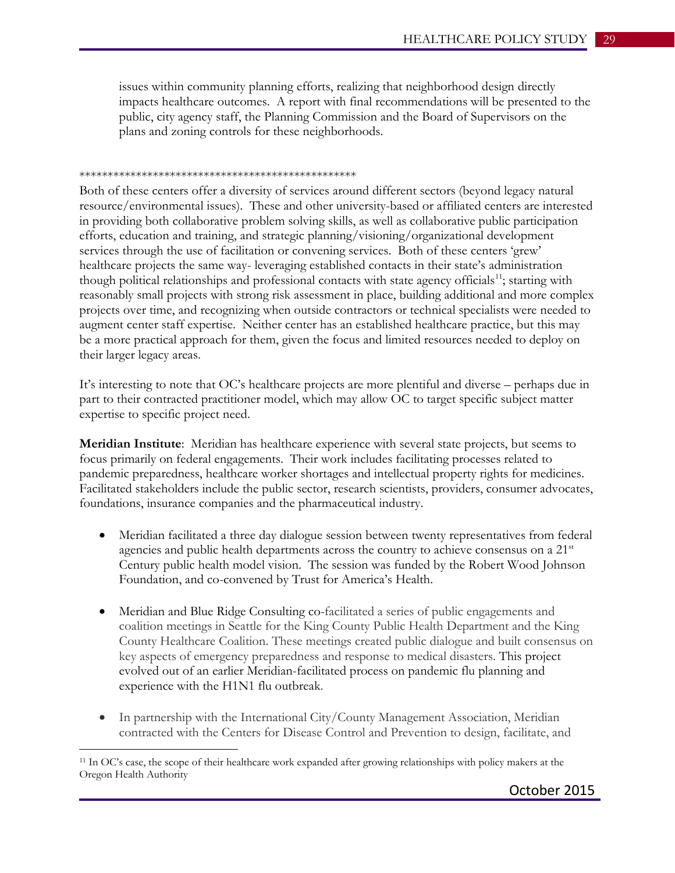issues within community planning efforts, realizing that neighborhood design directly impacts healthcare outcomes. A report with final recommendations will be presented to the public, city agency staff, the Planning Commission and the Board of Supervisors on the plans and zoning controls for these neighborhoods.

#### \*\*\*\*\*\*\*\*\*\*\*\*\*\*\*\*\*\*\*\*\*\*\*\*\*\*\*\*\*\*\*\*\*\*\*\*\*\*\*\*\*\*\*\*\*\*\*\*\*

Both of these centers offer a diversity of services around different sectors (beyond legacy natural resource/environmental issues). These and other university-based or affiliated centers are interested in providing both collaborative problem solving skills, as well as collaborative public participation efforts, education and training, and strategic planning/visioning/organizational development services through the use of facilitation or convening services. Both of these centers 'grew' healthcare projects the same way- leveraging established contacts in their state's administration though political relationships and professional contacts with state agency officials<sup>11</sup>; starting with reasonably small projects with strong risk assessment in place, building additional and more complex projects over time, and recognizing when outside contractors or technical specialists were needed to augment center staff expertise. Neither center has an established healthcare practice, but this may be a more practical approach for them, given the focus and limited resources needed to deploy on their larger legacy areas.

It's interesting to note that OC's healthcare projects are more plentiful and diverse – perhaps due in part to their contracted practitioner model, which may allow OC to target specific subject matter expertise to specific project need.

**Meridian Institute**: Meridian has healthcare experience with several state projects, but seems to focus primarily on federal engagements. Their work includes facilitating processes related to pandemic preparedness, healthcare worker shortages and intellectual property rights for medicines. Facilitated stakeholders include the public sector, research scientists, providers, consumer advocates, foundations, insurance companies and the pharmaceutical industry.

- Meridian facilitated a three day dialogue session between twenty representatives from federal agencies and public health departments across the country to achieve consensus on a  $21<sup>st</sup>$ Century public health model vision. The session was funded by the Robert Wood Johnson Foundation, and co-convened by Trust for America's Health.
- Meridian and Blue Ridge Consulting co-facilitated a series of public engagements and coalition meetings in Seattle for the King County Public Health Department and the King County Healthcare Coalition. These meetings created public dialogue and built consensus on key aspects of emergency preparedness and response to medical disasters. This project evolved out of an earlier [Meridian-facilitated](http://merid.org/content/projects/pandemic%20flu%20demonstration%20projects.aspx) process on pandemic flu planning and experience with the H1N1 flu outbreak.
- In partnership with the International City/County Management Association, Meridian contracted with the Centers for Disease Control and Prevention to design, facilitate, and

 $\overline{a}$ 

<span id="page-28-0"></span><sup>11</sup> In OC's case, the scope of their healthcare work expanded after growing relationships with policy makers at the Oregon Health Authority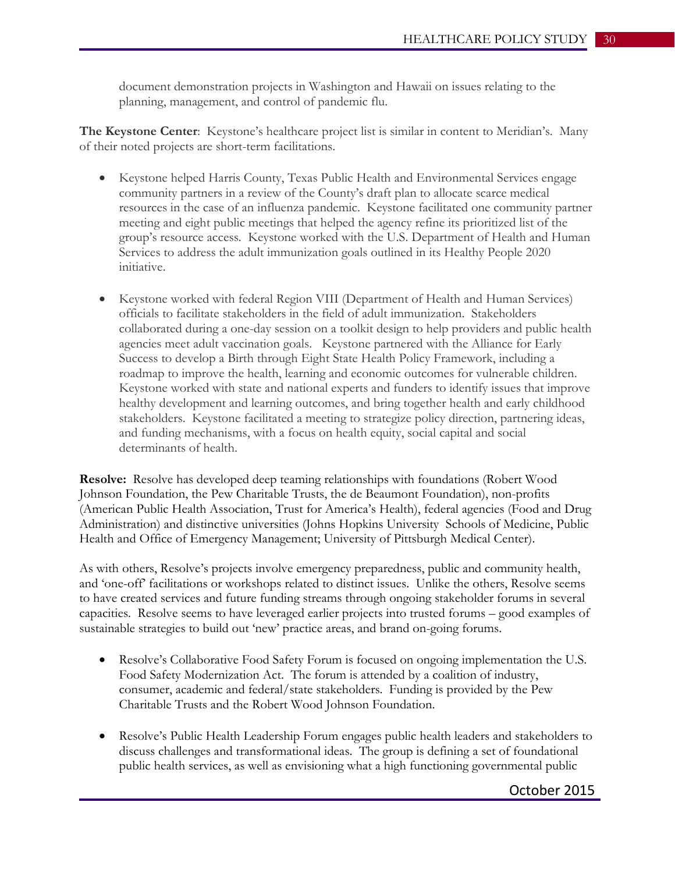document demonstration projects in Washington and Hawaii on issues relating to the planning, management, and control of pandemic flu.

**The Keystone Center**: Keystone's healthcare project list is similar in content to Meridian's. Many of their noted projects are short-term facilitations.

- Keystone helped Harris County, Texas Public Health and Environmental Services engage community partners in a review of the County's draft plan to allocate scarce medical resources in the case of an influenza pandemic. Keystone facilitated one community partner meeting and eight public meetings that helped the agency refine its prioritized list of the group's resource access. Keystone worked with the U.S. Department of Health and Human Services to address the adult immunization goals outlined in its Healthy People 2020 initiative.
- Keystone worked with federal Region VIII (Department of Health and Human Services) officials to facilitate stakeholders in the field of adult immunization. Stakeholders collaborated during a one-day session on a toolkit design to help providers and public health agencies meet adult vaccination goals. Keystone partnered with the Alliance for Early Success to develop a Birth through Eight State Health Policy Framework, including a roadmap to improve the health, learning and economic outcomes for vulnerable children. Keystone worked with state and national experts and funders to identify issues that improve healthy development and learning outcomes, and bring together health and early childhood stakeholders. Keystone facilitated a meeting to strategize policy direction, partnering ideas, and funding mechanisms, with a focus on health equity, social capital and social determinants of health.

**Resolve:** Resolve has developed deep teaming relationships with foundations (Robert Wood Johnson Foundation, the Pew Charitable Trusts, the de Beaumont Foundation), non-profits (American Public Health Association, Trust for America's Health), federal agencies (Food and Drug Administration) and distinctive universities (Johns Hopkins University Schools of Medicine, Public Health and Office of Emergency Management; University of Pittsburgh Medical Center).

As with others, Resolve's projects involve emergency preparedness, public and community health, and 'one-off' facilitations or workshops related to distinct issues. Unlike the others, Resolve seems to have created services and future funding streams through ongoing stakeholder forums in several capacities. Resolve seems to have leveraged earlier projects into trusted forums – good examples of sustainable strategies to build out 'new' practice areas, and brand on-going forums.

- Resolve's Collaborative Food Safety Forum is focused on ongoing implementation the U.S. Food Safety Modernization Act. The forum is attended by a coalition of industry, consumer, academic and federal/state stakeholders. Funding is provided by the Pew Charitable Trusts and the Robert Wood Johnson Foundation.
- Resolve's Public Health Leadership Forum engages public health leaders and stakeholders to discuss challenges and transformational ideas. The group is defining a set of foundational public health services, as well as envisioning what a high functioning governmental public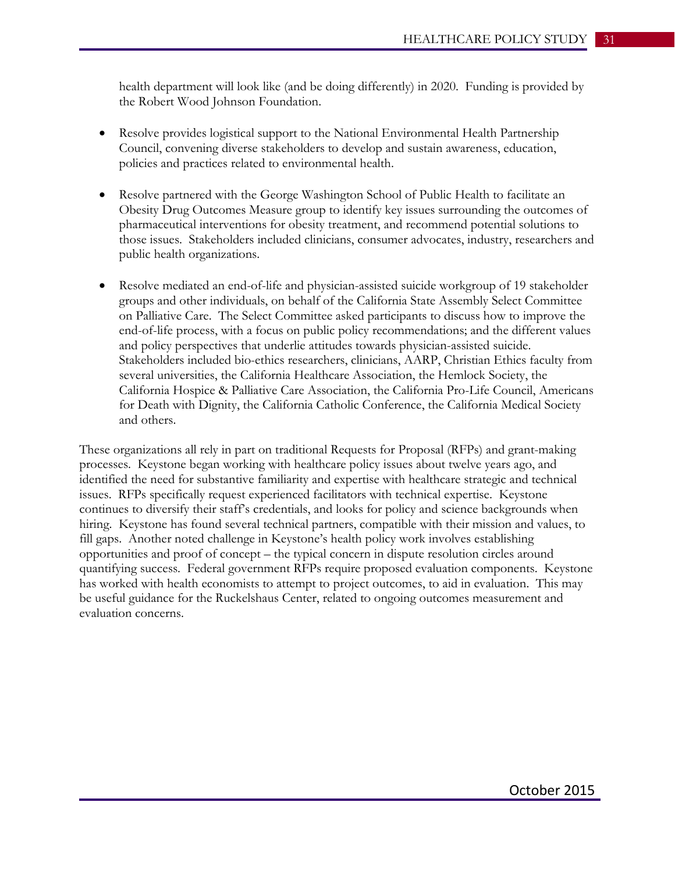health department will look like (and be doing differently) in 2020. Funding is provided by the Robert Wood Johnson Foundation.

- Resolve provides logistical support to the National Environmental Health Partnership Council, convening diverse stakeholders to develop and sustain awareness, education, policies and practices related to environmental health.
- Resolve partnered with the George Washington School of Public Health to facilitate an Obesity Drug Outcomes Measure group to identify key issues surrounding the outcomes of pharmaceutical interventions for obesity treatment, and recommend potential solutions to those issues. Stakeholders included clinicians, consumer advocates, industry, researchers and public health organizations.
- Resolve mediated an end-of-life and physician-assisted suicide workgroup of 19 stakeholder groups and other individuals, on behalf of the California State Assembly Select Committee on Palliative Care. The Select Committee asked participants to discuss how to improve the end-of-life process, with a focus on public policy recommendations; and the different values and policy perspectives that underlie attitudes towards physician-assisted suicide. Stakeholders included bio-ethics researchers, clinicians, AARP, Christian Ethics faculty from several universities, the California Healthcare Association, the Hemlock Society, the California Hospice & Palliative Care Association, the California Pro-Life Council, Americans for Death with Dignity, the California Catholic Conference, the California Medical Society and others.

These organizations all rely in part on traditional Requests for Proposal (RFPs) and grant-making processes. Keystone began working with healthcare policy issues about twelve years ago, and identified the need for substantive familiarity and expertise with healthcare strategic and technical issues. RFPs specifically request experienced facilitators with technical expertise. Keystone continues to diversify their staff's credentials, and looks for policy and science backgrounds when hiring. Keystone has found several technical partners, compatible with their mission and values, to fill gaps. Another noted challenge in Keystone's health policy work involves establishing opportunities and proof of concept – the typical concern in dispute resolution circles around quantifying success. Federal government RFPs require proposed evaluation components. Keystone has worked with health economists to attempt to project outcomes, to aid in evaluation. This may be useful guidance for the Ruckelshaus Center, related to ongoing outcomes measurement and evaluation concerns.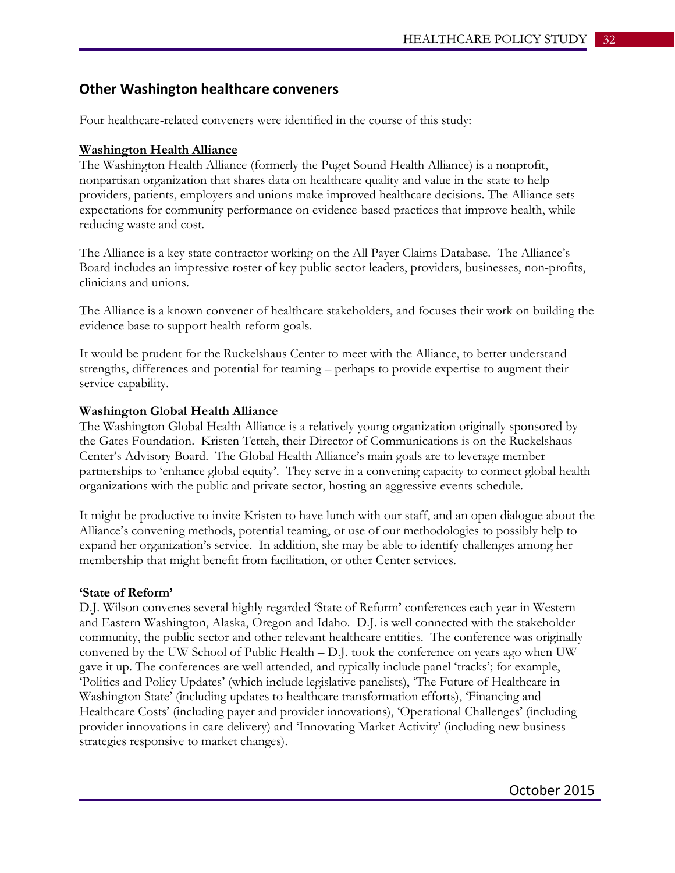## **Other Washington healthcare conveners**

Four healthcare-related conveners were identified in the course of this study:

#### **Washington Health Alliance**

The Washington Health Alliance (formerly the Puget Sound Health Alliance) is a nonprofit, nonpartisan organization that shares data on healthcare quality and value in the state to help providers, patients, employers and unions make improved healthcare decisions. The Alliance sets expectations for community performance on evidence-based practices that improve health, while reducing waste and cost.

The Alliance is a key state contractor working on the All Payer Claims Database. The Alliance's Board includes an impressive roster of key public sector leaders, providers, businesses, non-profits, clinicians and unions.

The Alliance is a known convener of healthcare stakeholders, and focuses their work on building the evidence base to support health reform goals.

It would be prudent for the Ruckelshaus Center to meet with the Alliance, to better understand strengths, differences and potential for teaming – perhaps to provide expertise to augment their service capability.

#### **Washington Global Health Alliance**

The Washington Global Health Alliance is a relatively young organization originally sponsored by the Gates Foundation. Kristen Tetteh, their Director of Communications is on the Ruckelshaus Center's Advisory Board. The Global Health Alliance's main goals are to leverage member partnerships to 'enhance global equity'. They serve in a convening capacity to connect global health organizations with the public and private sector, hosting an aggressive events schedule.

It might be productive to invite Kristen to have lunch with our staff, and an open dialogue about the Alliance's convening methods, potential teaming, or use of our methodologies to possibly help to expand her organization's service. In addition, she may be able to identify challenges among her membership that might benefit from facilitation, or other Center services.

#### **'State of Reform'**

D.J. Wilson convenes several highly regarded 'State of Reform' conferences each year in Western and Eastern Washington, Alaska, Oregon and Idaho. D.J. is well connected with the stakeholder community, the public sector and other relevant healthcare entities. The conference was originally convened by the UW School of Public Health – D.J. took the conference on years ago when UW gave it up. The conferences are well attended, and typically include panel 'tracks'; for example, 'Politics and Policy Updates' (which include legislative panelists), 'The Future of Healthcare in Washington State' (including updates to healthcare transformation efforts), 'Financing and Healthcare Costs' (including payer and provider innovations), 'Operational Challenges' (including provider innovations in care delivery) and 'Innovating Market Activity' (including new business strategies responsive to market changes).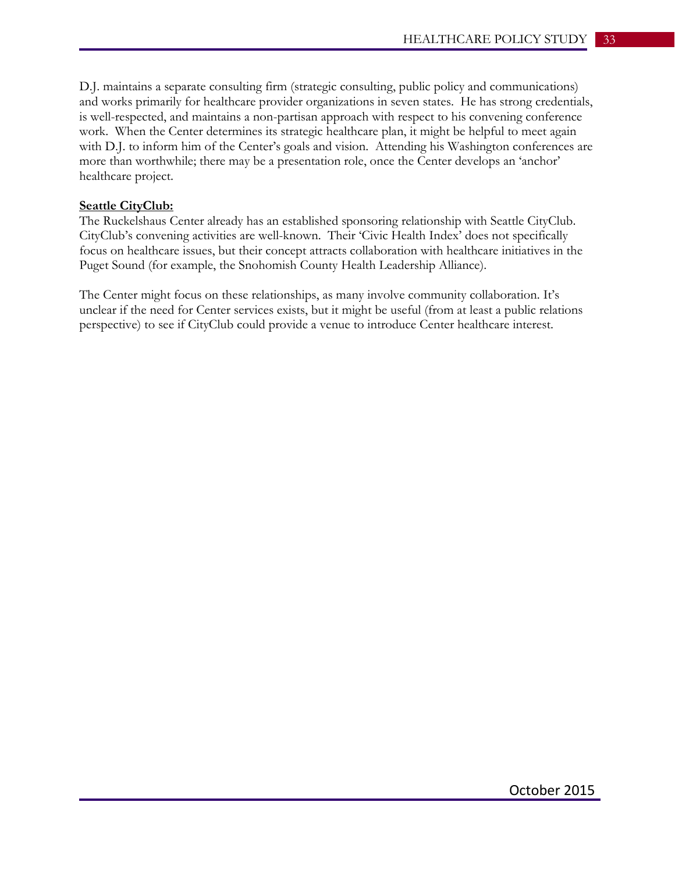D.J. maintains a separate consulting firm (strategic consulting, public policy and communications) and works primarily for healthcare provider organizations in seven states. He has strong credentials, is well-respected, and maintains a non-partisan approach with respect to his convening conference work. When the Center determines its strategic healthcare plan, it might be helpful to meet again with D.J. to inform him of the Center's goals and vision. Attending his Washington conferences are more than worthwhile; there may be a presentation role, once the Center develops an 'anchor' healthcare project.

#### **Seattle CityClub:**

The Ruckelshaus Center already has an established sponsoring relationship with Seattle CityClub. CityClub's convening activities are well-known. Their 'Civic Health Index' does not specifically focus on healthcare issues, but their concept attracts collaboration with healthcare initiatives in the Puget Sound (for example, the Snohomish County Health Leadership Alliance).

The Center might focus on these relationships, as many involve community collaboration. It's unclear if the need for Center services exists, but it might be useful (from at least a public relations perspective) to see if CityClub could provide a venue to introduce Center healthcare interest.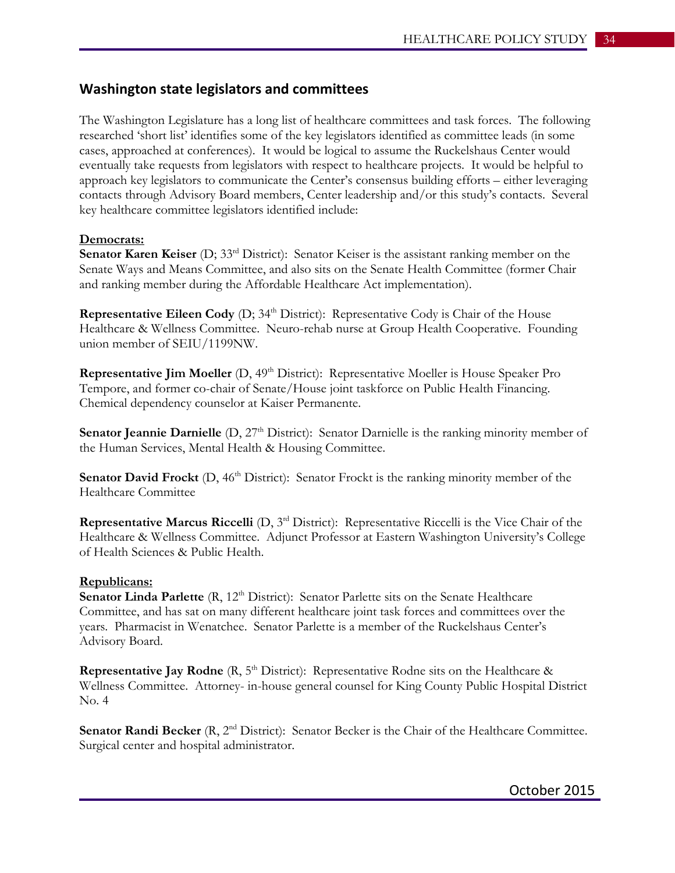## **Washington state legislators and committees**

The Washington Legislature has a long list of healthcare committees and task forces. The following researched 'short list' identifies some of the key legislators identified as committee leads (in some cases, approached at conferences). It would be logical to assume the Ruckelshaus Center would eventually take requests from legislators with respect to healthcare projects. It would be helpful to approach key legislators to communicate the Center's consensus building efforts – either leveraging contacts through Advisory Board members, Center leadership and/or this study's contacts. Several key healthcare committee legislators identified include:

#### **Democrats:**

**Senator Karen Keiser** (D; 33<sup>rd</sup> District): Senator Keiser is the assistant ranking member on the Senate Ways and Means Committee, and also sits on the Senate Health Committee (former Chair and ranking member during the Affordable Healthcare Act implementation).

**Representative Eileen Cody** (D; 34<sup>th</sup> District): Representative Cody is Chair of the House Healthcare & Wellness Committee. Neuro-rehab nurse at Group Health Cooperative. Founding union member of SEIU/1199NW.

**Representative Jim Moeller** (D, 49<sup>th</sup> District): Representative Moeller is House Speaker Pro Tempore, and former co-chair of Senate/House joint taskforce on Public Health Financing. Chemical dependency counselor at Kaiser Permanente.

**Senator Jeannie Darnielle** (D, 27<sup>th</sup> District): Senator Darnielle is the ranking minority member of the Human Services, Mental Health & Housing Committee.

**Senator David Frockt** (D, 46<sup>th</sup> District): Senator Frockt is the ranking minority member of the Healthcare Committee

**Representative Marcus Riccelli** (D, 3<sup>rd</sup> District): Representative Riccelli is the Vice Chair of the Healthcare & Wellness Committee. Adjunct Professor at Eastern Washington University's College of Health Sciences & Public Health.

#### **Republicans:**

**Senator Linda Parlette** (R, 12<sup>th</sup> District): Senator Parlette sits on the Senate Healthcare Committee, and has sat on many different healthcare joint task forces and committees over the years. Pharmacist in Wenatchee. Senator Parlette is a member of the Ruckelshaus Center's Advisory Board.

**Representative Jay Rodne**  $(R, 5<sup>th</sup> District)$ : Representative Rodne sits on the Healthcare  $\&$ Wellness Committee. Attorney- in-house general counsel for King County Public Hospital District No. 4

**Senator Randi Becker** (R, 2<sup>nd</sup> District): Senator Becker is the Chair of the Healthcare Committee. Surgical center and hospital administrator.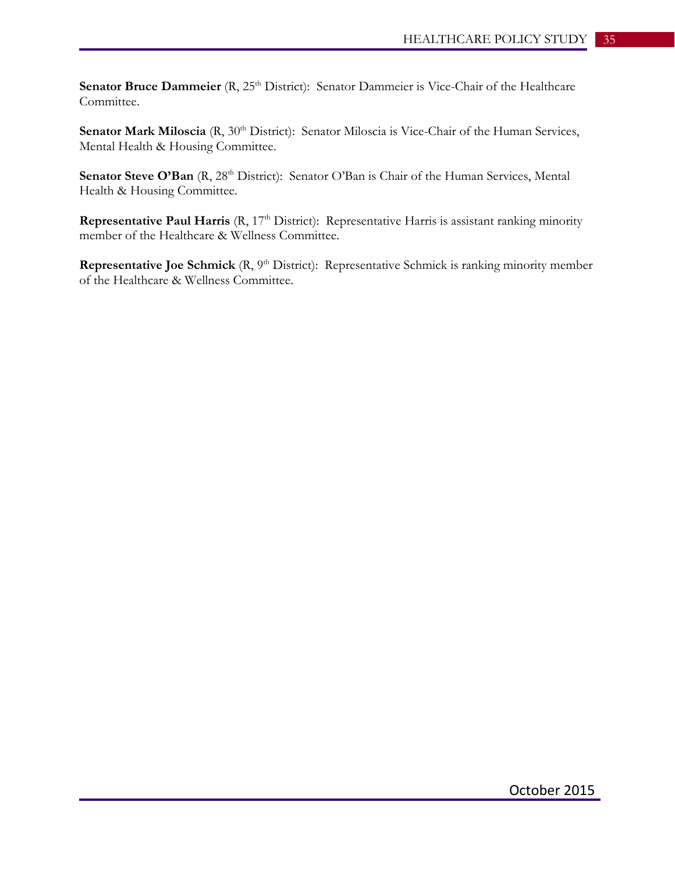**Senator Bruce Dammeier** (R, 25<sup>th</sup> District): Senator Dammeier is Vice-Chair of the Healthcare Committee.

Senator Mark Miloscia (R, 30<sup>th</sup> District): Senator Miloscia is Vice-Chair of the Human Services, Mental Health & Housing Committee.

Senator Steve O'Ban (R, 28<sup>th</sup> District): Senator O'Ban is Chair of the Human Services, Mental Health & Housing Committee.

**Representative Paul Harris** (R, 17<sup>th</sup> District): Representative Harris is assistant ranking minority member of the Healthcare & Wellness Committee.

**Representative Joe Schmick** (R, 9<sup>th</sup> District): Representative Schmick is ranking minority member of the Healthcare & Wellness Committee.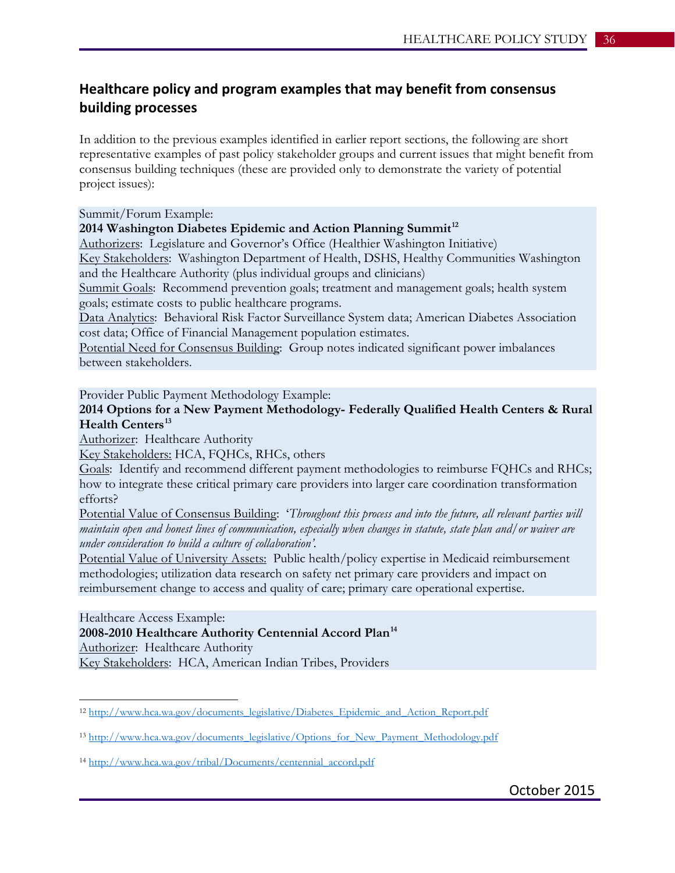## **Healthcare policy and program examples that may benefit from consensus building processes**

In addition to the previous examples identified in earlier report sections, the following are short representative examples of past policy stakeholder groups and current issues that might benefit from consensus building techniques (these are provided only to demonstrate the variety of potential project issues):

#### Summit/Forum Example:

#### **2014 Washington Diabetes Epidemic and Action Planning Summit[12](#page-35-0)**

Authorizers: Legislature and Governor's Office (Healthier Washington Initiative) Key Stakeholders: Washington Department of Health, DSHS, Healthy Communities Washington and the Healthcare Authority (plus individual groups and clinicians)

Summit Goals: Recommend prevention goals; treatment and management goals; health system goals; estimate costs to public healthcare programs.

Data Analytics: Behavioral Risk Factor Surveillance System data; American Diabetes Association cost data; Office of Financial Management population estimates.

Potential Need for Consensus Building: Group notes indicated significant power imbalances between stakeholders.

Provider Public Payment Methodology Example:

**2014 Options for a New Payment Methodology- Federally Qualified Health Centers & Rural Health Centers[13](#page-35-1)**

Authorizer: Healthcare Authority

Key Stakeholders: HCA, FQHCs, RHCs, others

Goals: Identify and recommend different payment methodologies to reimburse FQHCs and RHCs; how to integrate these critical primary care providers into larger care coordination transformation efforts?

Potential Value of Consensus Building: '*Throughout this process and into the future, all relevant parties will maintain open and honest lines of communication, especially when changes in statute, state plan and/or waiver are under consideration to build a culture of collaboration'.*

Potential Value of University Assets: Public health/policy expertise in Medicaid reimbursement methodologies; utilization data research on safety net primary care providers and impact on reimbursement change to access and quality of care; primary care operational expertise.

Healthcare Access Example:

 $\overline{a}$ 

**2008-2010 Healthcare Authority Centennial Accord Plan[14](#page-35-2)** Authorizer: Healthcare Authority Key Stakeholders: HCA, American Indian Tribes, Providers

<span id="page-35-0"></span><sup>&</sup>lt;sup>12</sup> [http://www.hca.wa.gov/documents\\_legislative/Diabetes\\_Epidemic\\_and\\_Action\\_Report.pdf](http://www.hca.wa.gov/documents_legislative/Diabetes_Epidemic_and_Action_Report.pdf)

<span id="page-35-1"></span><sup>13</sup> [http://www.hca.wa.gov/documents\\_legislative/Options\\_for\\_New\\_Payment\\_Methodology.pdf](http://www.hca.wa.gov/documents_legislative/Options_for_New_Payment_Methodology.pdf)

<span id="page-35-2"></span><sup>14</sup> [http://www.hca.wa.gov/tribal/Documents/centennial\\_accord.pdf](http://www.hca.wa.gov/tribal/Documents/centennial_accord.pdf)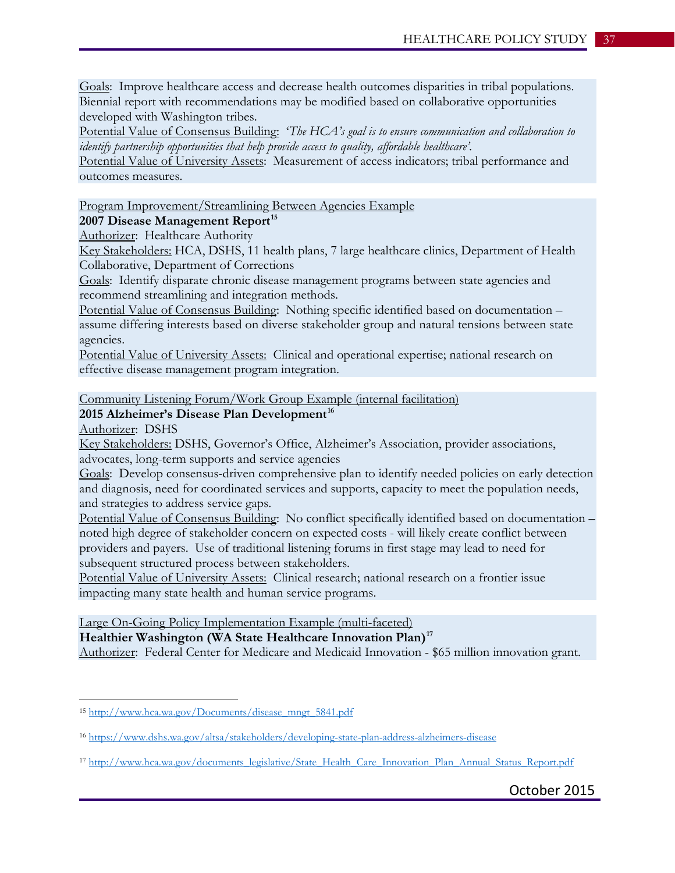Goals: Improve healthcare access and decrease health outcomes disparities in tribal populations. Biennial report with recommendations may be modified based on collaborative opportunities developed with Washington tribes.

Potential Value of Consensus Building: '*The HCA's goal is to ensure communication and collaboration to identify partnership opportunities that help provide access to quality, affordable healthcare'.* 

Potential Value of University Assets: Measurement of access indicators; tribal performance and outcomes measures.

Program Improvement/Streamlining Between Agencies Example

**2007 Disease Management Report[15](#page-36-0)**

Authorizer: Healthcare Authority

Key Stakeholders: HCA, DSHS, 11 health plans, 7 large healthcare clinics, Department of Health Collaborative, Department of Corrections

Goals: Identify disparate chronic disease management programs between state agencies and recommend streamlining and integration methods.

Potential Value of Consensus Building: Nothing specific identified based on documentation – assume differing interests based on diverse stakeholder group and natural tensions between state agencies.

Potential Value of University Assets: Clinical and operational expertise; national research on effective disease management program integration.

Community Listening Forum/Work Group Example (internal facilitation)

## **2015 Alzheimer's Disease Plan Development[16](#page-36-1)**

Authorizer: DSHS

 $\overline{a}$ 

Key Stakeholders: DSHS, Governor's Office, Alzheimer's Association, provider associations, advocates, long-term supports and service agencies

Goals: Develop consensus-driven comprehensive plan to identify needed policies on early detection and diagnosis, need for coordinated services and supports, capacity to meet the population needs, and strategies to address service gaps.

Potential Value of Consensus Building: No conflict specifically identified based on documentation – noted high degree of stakeholder concern on expected costs - will likely create conflict between providers and payers. Use of traditional listening forums in first stage may lead to need for subsequent structured process between stakeholders.

Potential Value of University Assets: Clinical research; national research on a frontier issue impacting many state health and human service programs.

Large On-Going Policy Implementation Example (multi-faceted)

**Healthier Washington (WA State Healthcare Innovation Plan)[17](#page-36-2)**

Authorizer: Federal Center for Medicare and Medicaid Innovation - \$65 million innovation grant.

<span id="page-36-0"></span><sup>15</sup> [http://www.hca.wa.gov/Documents/disease\\_mngt\\_5841.pdf](http://www.hca.wa.gov/Documents/disease_mngt_5841.pdf)

<span id="page-36-1"></span><sup>16</sup> <https://www.dshs.wa.gov/altsa/stakeholders/developing-state-plan-address-alzheimers-disease>

<span id="page-36-2"></span><sup>17</sup> [http://www.hca.wa.gov/documents\\_legislative/State\\_Health\\_Care\\_Innovation\\_Plan\\_Annual\\_Status\\_Report.pdf](http://www.hca.wa.gov/documents_legislative/State_Health_Care_Innovation_Plan_Annual_Status_Report.pdf)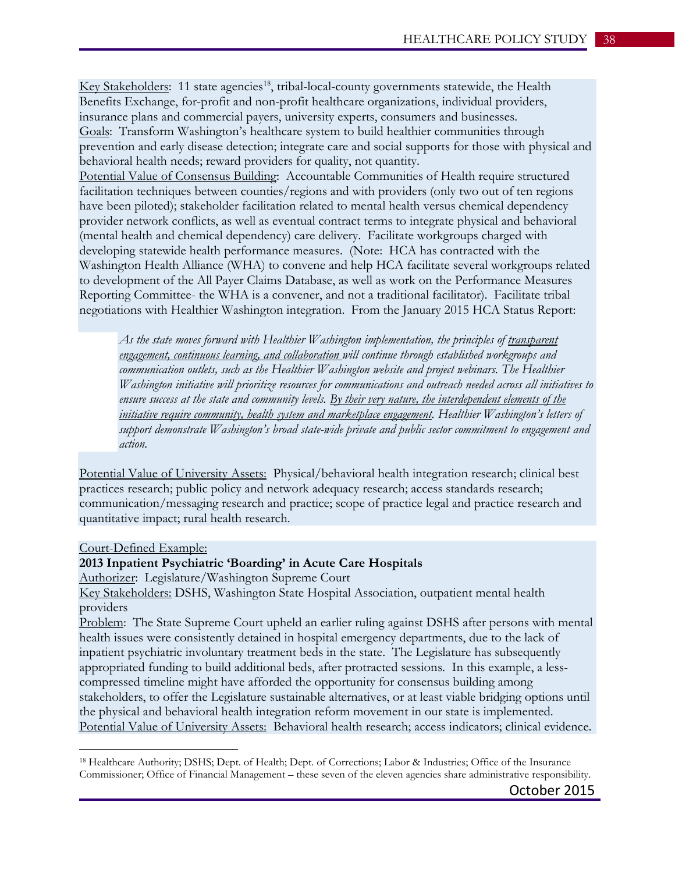Key Stakeholders: 11 state agencies<sup>18</sup>, tribal-local-county governments statewide, the Health Benefits Exchange, for-profit and non-profit healthcare organizations, individual providers, insurance plans and commercial payers, university experts, consumers and businesses. Goals: Transform Washington's healthcare system to build healthier communities through prevention and early disease detection; integrate care and social supports for those with physical and behavioral health needs; reward providers for quality, not quantity.

Potential Value of Consensus Building: Accountable Communities of Health require structured facilitation techniques between counties/regions and with providers (only two out of ten regions have been piloted); stakeholder facilitation related to mental health versus chemical dependency provider network conflicts, as well as eventual contract terms to integrate physical and behavioral (mental health and chemical dependency) care delivery. Facilitate workgroups charged with developing statewide health performance measures. (Note: HCA has contracted with the Washington Health Alliance (WHA) to convene and help HCA facilitate several workgroups related to development of the All Payer Claims Database, as well as work on the Performance Measures Reporting Committee- the WHA is a convener, and not a traditional facilitator). Facilitate tribal negotiations with Healthier Washington integration. From the January 2015 HCA Status Report:

*As the state moves forward with Healthier Washington implementation, the principles of transparent engagement, continuous learning, and collaboration will continue through established workgroups and communication outlets, such as the Healthier Washington website and project webinars. The Healthier Washington initiative will prioritize resources for communications and outreach needed across all initiatives to ensure success at the state and community levels. By their very nature, the interdependent elements of the initiative require community, health system and marketplace engagement. Healthier Washington's letters of support demonstrate Washington's broad state-wide private and public sector commitment to engagement and action.*

Potential Value of University Assets: Physical/behavioral health integration research; clinical best practices research; public policy and network adequacy research; access standards research; communication/messaging research and practice; scope of practice legal and practice research and quantitative impact; rural health research.

Court-Defined Example:

 $\overline{a}$ 

#### **2013 Inpatient Psychiatric 'Boarding' in Acute Care Hospitals**

Authorizer: Legislature/Washington Supreme Court

Key Stakeholders: DSHS, Washington State Hospital Association, outpatient mental health providers

Problem: The State Supreme Court upheld an earlier ruling against DSHS after persons with mental health issues were consistently detained in hospital emergency departments, due to the lack of inpatient psychiatric involuntary treatment beds in the state. The Legislature has subsequently appropriated funding to build additional beds, after protracted sessions. In this example, a lesscompressed timeline might have afforded the opportunity for consensus building among stakeholders, to offer the Legislature sustainable alternatives, or at least viable bridging options until the physical and behavioral health integration reform movement in our state is implemented. Potential Value of University Assets: Behavioral health research; access indicators; clinical evidence.

<span id="page-37-0"></span><sup>18</sup> Healthcare Authority; DSHS; Dept. of Health; Dept. of Corrections; Labor & Industries; Office of the Insurance Commissioner; Office of Financial Management – these seven of the eleven agencies share administrative responsibility.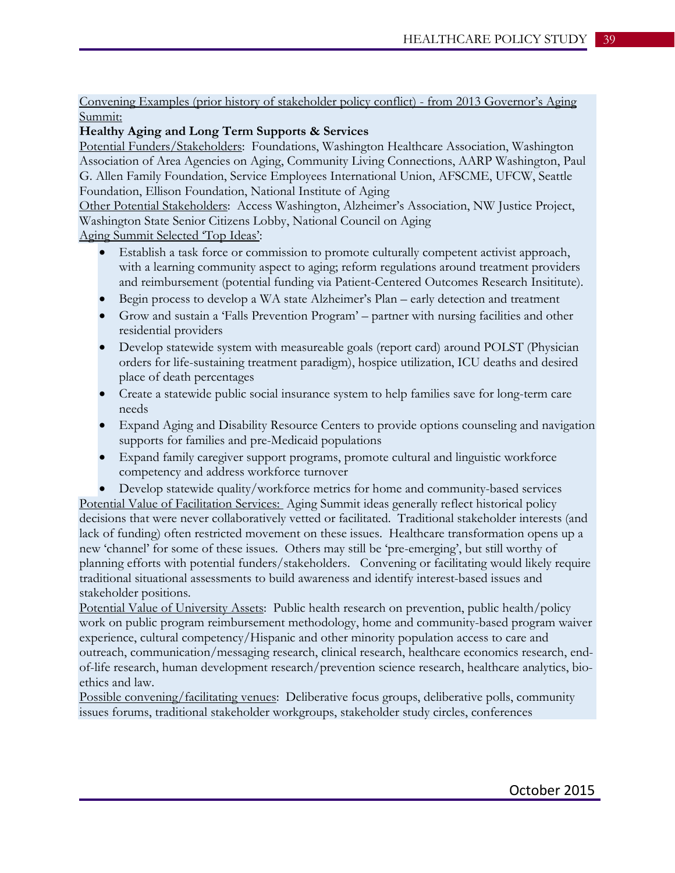Convening Examples (prior history of stakeholder policy conflict) - from 2013 Governor's Aging Summit:

## **Healthy Aging and Long Term Supports & Services**

Potential Funders/Stakeholders: Foundations, Washington Healthcare Association, Washington Association of Area Agencies on Aging, Community Living Connections, AARP Washington, Paul G. Allen Family Foundation, Service Employees International Union, AFSCME, UFCW, Seattle Foundation, Ellison Foundation, National Institute of Aging

Other Potential Stakeholders: Access Washington, Alzheimer's Association, NW Justice Project, Washington State Senior Citizens Lobby, National Council on Aging

Aging Summit Selected 'Top Ideas':

- Establish a task force or commission to promote culturally competent activist approach, with a learning community aspect to aging; reform regulations around treatment providers and reimbursement (potential funding via Patient-Centered Outcomes Research Insititute).
- Begin process to develop a WA state Alzheimer's Plan early detection and treatment
- Grow and sustain a 'Falls Prevention Program' partner with nursing facilities and other residential providers
- Develop statewide system with measureable goals (report card) around POLST (Physician orders for life-sustaining treatment paradigm), hospice utilization, ICU deaths and desired place of death percentages
- Create a statewide public social insurance system to help families save for long-term care needs
- Expand Aging and Disability Resource Centers to provide options counseling and navigation supports for families and pre-Medicaid populations
- Expand family caregiver support programs, promote cultural and linguistic workforce competency and address workforce turnover
- Develop statewide quality/workforce metrics for home and community-based services

Potential Value of Facilitation Services: Aging Summit ideas generally reflect historical policy decisions that were never collaboratively vetted or facilitated. Traditional stakeholder interests (and lack of funding) often restricted movement on these issues. Healthcare transformation opens up a new 'channel' for some of these issues. Others may still be 'pre-emerging', but still worthy of planning efforts with potential funders/stakeholders. Convening or facilitating would likely require traditional situational assessments to build awareness and identify interest-based issues and stakeholder positions.

Potential Value of University Assets: Public health research on prevention, public health/policy work on public program reimbursement methodology, home and community-based program waiver experience, cultural competency/Hispanic and other minority population access to care and outreach, communication/messaging research, clinical research, healthcare economics research, endof-life research, human development research/prevention science research, healthcare analytics, bioethics and law.

Possible convening/facilitating venues: Deliberative focus groups, deliberative polls, community issues forums, traditional stakeholder workgroups, stakeholder study circles, conferences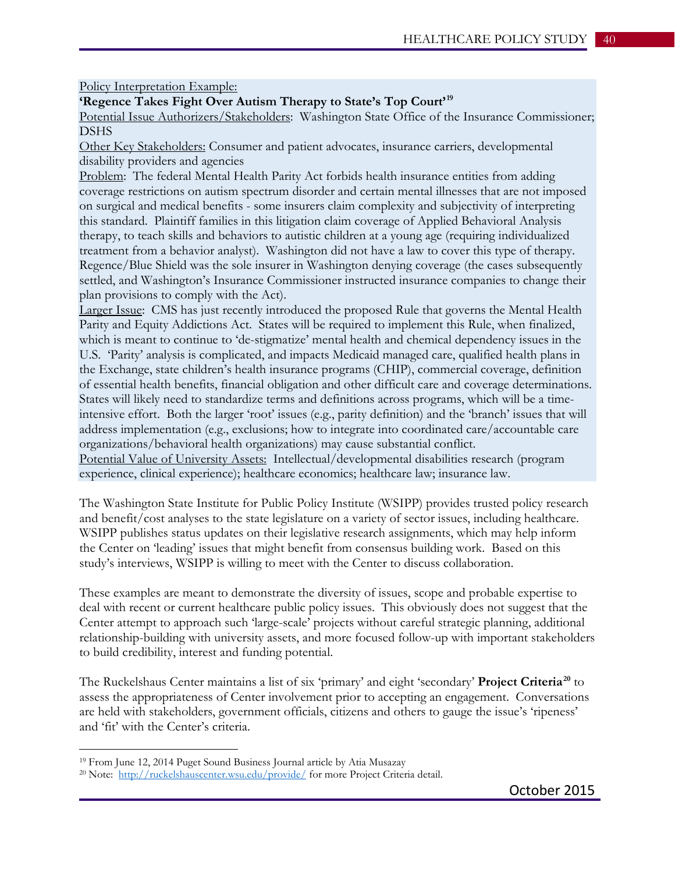Policy Interpretation Example:

**'Regence Takes Fight Over Autism Therapy to State's Top Court'[19](#page-39-0)**

Potential Issue Authorizers/Stakeholders: Washington State Office of the Insurance Commissioner; DSHS

Other Key Stakeholders: Consumer and patient advocates, insurance carriers, developmental disability providers and agencies

Problem: The federal Mental Health Parity Act forbids health insurance entities from adding coverage restrictions on autism spectrum disorder and certain mental illnesses that are not imposed on surgical and medical benefits - some insurers claim complexity and subjectivity of interpreting this standard. Plaintiff families in this litigation claim coverage of Applied Behavioral Analysis therapy, to teach skills and behaviors to autistic children at a young age (requiring individualized treatment from a behavior analyst). Washington did not have a law to cover this type of therapy. Regence/Blue Shield was the sole insurer in Washington denying coverage (the cases subsequently settled, and Washington's Insurance Commissioner instructed insurance companies to change their plan provisions to comply with the Act).

Larger Issue: CMS has just recently introduced the proposed Rule that governs the Mental Health Parity and Equity Addictions Act. States will be required to implement this Rule, when finalized, which is meant to continue to 'de-stigmatize' mental health and chemical dependency issues in the U.S. 'Parity' analysis is complicated, and impacts Medicaid managed care, qualified health plans in the Exchange, state children's health insurance programs (CHIP), commercial coverage, definition of essential health benefits, financial obligation and other difficult care and coverage determinations. States will likely need to standardize terms and definitions across programs, which will be a timeintensive effort. Both the larger 'root' issues (e.g., parity definition) and the 'branch' issues that will address implementation (e.g., exclusions; how to integrate into coordinated care/accountable care organizations/behavioral health organizations) may cause substantial conflict.

Potential Value of University Assets: Intellectual/developmental disabilities research (program experience, clinical experience); healthcare economics; healthcare law; insurance law.

The Washington State Institute for Public Policy Institute (WSIPP) provides trusted policy research and benefit/cost analyses to the state legislature on a variety of sector issues, including healthcare. WSIPP publishes status updates on their legislative research assignments, which may help inform the Center on 'leading' issues that might benefit from consensus building work. Based on this study's interviews, WSIPP is willing to meet with the Center to discuss collaboration.

These examples are meant to demonstrate the diversity of issues, scope and probable expertise to deal with recent or current healthcare public policy issues. This obviously does not suggest that the Center attempt to approach such 'large-scale' projects without careful strategic planning, additional relationship-building with university assets, and more focused follow-up with important stakeholders to build credibility, interest and funding potential.

The Ruckelshaus Center maintains a list of six 'primary' and eight 'secondary' **Project Criteria[20](#page-39-1)** to assess the appropriateness of Center involvement prior to accepting an engagement. Conversations are held with stakeholders, government officials, citizens and others to gauge the issue's 'ripeness' and 'fit' with the Center's criteria.

 $\overline{a}$ 

<span id="page-39-0"></span><sup>19</sup> From June 12, 2014 Puget Sound Business Journal article by Atia Musazay

<span id="page-39-1"></span><sup>&</sup>lt;sup>20</sup> Note: <http://ruckelshauscenter.wsu.edu/provide/> for more Project Criteria detail.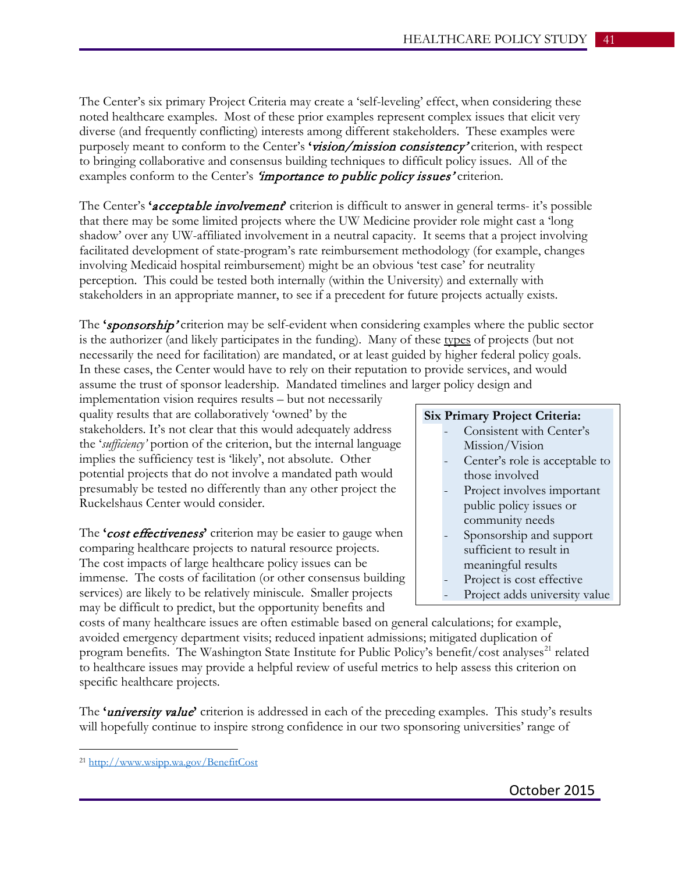The Center's six primary Project Criteria may create a 'self-leveling' effect, when considering these noted healthcare examples. Most of these prior examples represent complex issues that elicit very diverse (and frequently conflicting) interests among different stakeholders. These examples were purposely meant to conform to the Center's **'**vision/mission consistency' criterion, with respect to bringing collaborative and consensus building techniques to difficult policy issues. All of the examples conform to the Center's *'importance to public policy issues'* criterion.

The Center's **'**acceptable involvement**'** criterion is difficult to answer in general terms- it's possible that there may be some limited projects where the UW Medicine provider role might cast a 'long shadow' over any UW-affiliated involvement in a neutral capacity. It seems that a project involving facilitated development of state-program's rate reimbursement methodology (for example, changes involving Medicaid hospital reimbursement) might be an obvious 'test case' for neutrality perception. This could be tested both internally (within the University) and externally with stakeholders in an appropriate manner, to see if a precedent for future projects actually exists.

The **'**sponsorship' criterion may be self-evident when considering examples where the public sector is the authorizer (and likely participates in the funding). Many of these types of projects (but not necessarily the need for facilitation) are mandated, or at least guided by higher federal policy goals. In these cases, the Center would have to rely on their reputation to provide services, and would assume the trust of sponsor leadership. Mandated timelines and larger policy design and

implementation vision requires results – but not necessarily quality results that are collaboratively 'owned' by the stakeholders. It's not clear that this would adequately address the '*sufficiency'* portion of the criterion, but the internal language implies the sufficiency test is 'likely', not absolute. Other potential projects that do not involve a mandated path would presumably be tested no differently than any other project the Ruckelshaus Center would consider.

The **'**cost effectiveness**'** criterion may be easier to gauge when comparing healthcare projects to natural resource projects. The cost impacts of large healthcare policy issues can be immense. The costs of facilitation (or other consensus building services) are likely to be relatively miniscule. Smaller projects may be difficult to predict, but the opportunity benefits and

## **Six Primary Project Criteria:**

- Consistent with Center's Mission/Vision
- Center's role is acceptable to those involved
- Project involves important public policy issues or community needs
- Sponsorship and support sufficient to result in meaningful results
- Project is cost effective
- Project adds university value

costs of many healthcare issues are often estimable based on general calculations; for example, avoided emergency department visits; reduced inpatient admissions; mitigated duplication of program benefits. The Washington State Institute for Public Policy's benefit/cost analyses<sup>[21](#page-40-0)</sup> related to healthcare issues may provide a helpful review of useful metrics to help assess this criterion on specific healthcare projects.

The **'**university value**'** criterion is addressed in each of the preceding examples. This study's results will hopefully continue to inspire strong confidence in our two sponsoring universities' range of

 $\overline{a}$ 

<span id="page-40-0"></span><sup>21</sup> <http://www.wsipp.wa.gov/BenefitCost>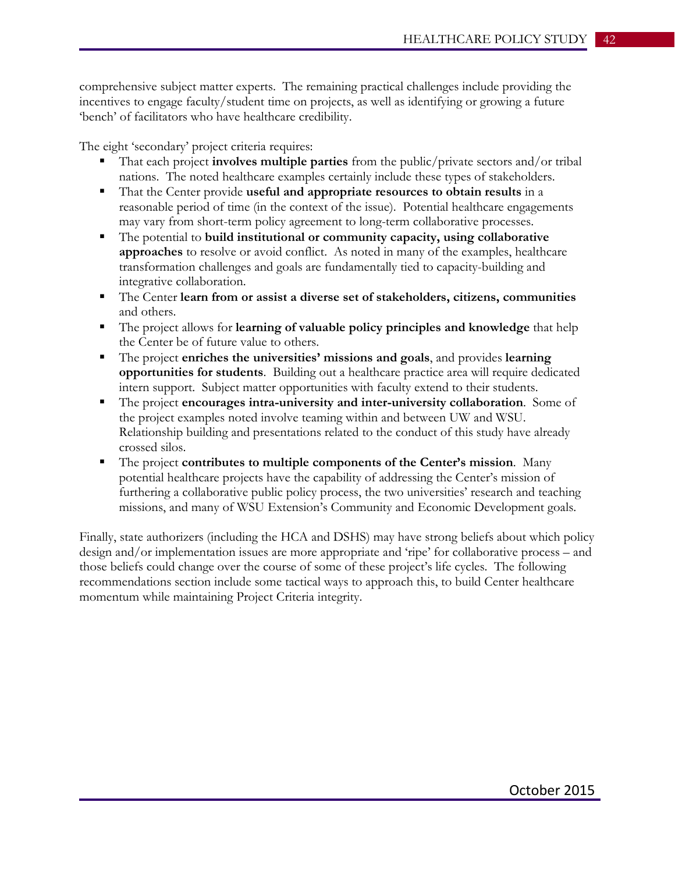comprehensive subject matter experts. The remaining practical challenges include providing the incentives to engage faculty/student time on projects, as well as identifying or growing a future 'bench' of facilitators who have healthcare credibility.

The eight 'secondary' project criteria requires:

- That each project **involves multiple parties** from the public/private sectors and/or tribal nations. The noted healthcare examples certainly include these types of stakeholders.
- That the Center provide **useful and appropriate resources to obtain results** in a reasonable period of time (in the context of the issue). Potential healthcare engagements may vary from short-term policy agreement to long-term collaborative processes.
- The potential to **build institutional or community capacity, using collaborative approaches** to resolve or avoid conflict. As noted in many of the examples, healthcare transformation challenges and goals are fundamentally tied to capacity-building and integrative collaboration.
- The Center **learn from or assist a diverse set of stakeholders, citizens, communities** and others.
- The project allows for **learning of valuable policy principles and knowledge** that help the Center be of future value to others.
- The project **enriches the universities' missions and goals**, and provides **learning opportunities for students**. Building out a healthcare practice area will require dedicated intern support. Subject matter opportunities with faculty extend to their students.
- The project **encourages intra-university and inter-university collaboration**. Some of the project examples noted involve teaming within and between UW and WSU. Relationship building and presentations related to the conduct of this study have already crossed silos.
- The project **contributes to multiple components of the Center's mission**. Many potential healthcare projects have the capability of addressing the Center's mission of furthering a collaborative public policy process, the two universities' research and teaching missions, and many of WSU Extension's Community and Economic Development goals.

Finally, state authorizers (including the HCA and DSHS) may have strong beliefs about which policy design and/or implementation issues are more appropriate and 'ripe' for collaborative process – and those beliefs could change over the course of some of these project's life cycles. The following recommendations section include some tactical ways to approach this, to build Center healthcare momentum while maintaining Project Criteria integrity.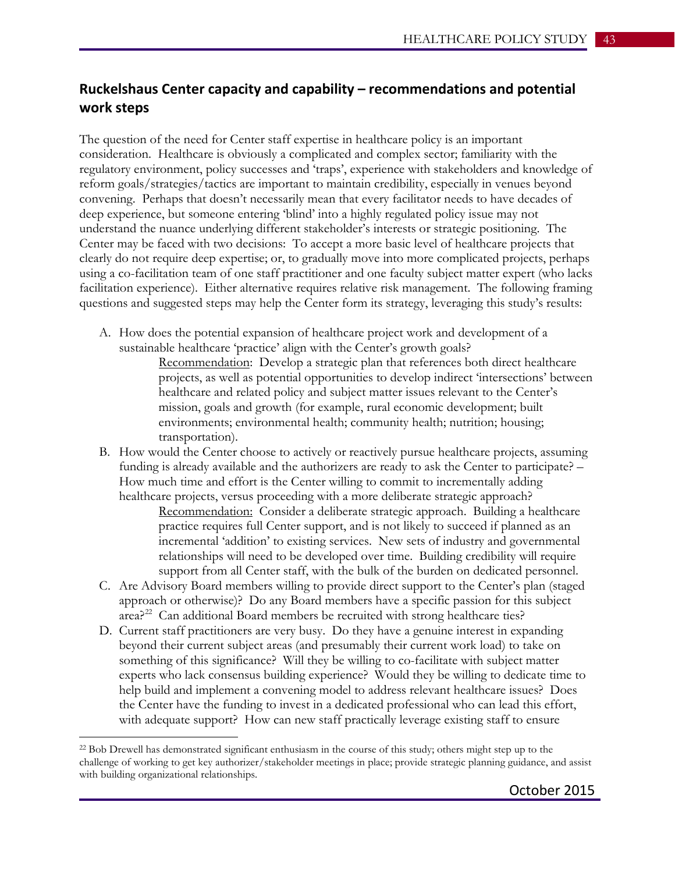## **Ruckelshaus Center capacity and capability – recommendations and potential work steps**

The question of the need for Center staff expertise in healthcare policy is an important consideration. Healthcare is obviously a complicated and complex sector; familiarity with the regulatory environment, policy successes and 'traps', experience with stakeholders and knowledge of reform goals/strategies/tactics are important to maintain credibility, especially in venues beyond convening. Perhaps that doesn't necessarily mean that every facilitator needs to have decades of deep experience, but someone entering 'blind' into a highly regulated policy issue may not understand the nuance underlying different stakeholder's interests or strategic positioning. The Center may be faced with two decisions: To accept a more basic level of healthcare projects that clearly do not require deep expertise; or, to gradually move into more complicated projects, perhaps using a co-facilitation team of one staff practitioner and one faculty subject matter expert (who lacks facilitation experience). Either alternative requires relative risk management. The following framing questions and suggested steps may help the Center form its strategy, leveraging this study's results:

A. How does the potential expansion of healthcare project work and development of a sustainable healthcare 'practice' align with the Center's growth goals?

> Recommendation: Develop a strategic plan that references both direct healthcare projects, as well as potential opportunities to develop indirect 'intersections' between healthcare and related policy and subject matter issues relevant to the Center's mission, goals and growth (for example, rural economic development; built environments; environmental health; community health; nutrition; housing; transportation).

B. How would the Center choose to actively or reactively pursue healthcare projects, assuming funding is already available and the authorizers are ready to ask the Center to participate? – How much time and effort is the Center willing to commit to incrementally adding healthcare projects, versus proceeding with a more deliberate strategic approach?

Recommendation: Consider a deliberate strategic approach. Building a healthcare practice requires full Center support, and is not likely to succeed if planned as an incremental 'addition' to existing services. New sets of industry and governmental relationships will need to be developed over time. Building credibility will require support from all Center staff, with the bulk of the burden on dedicated personnel.

- C. Are Advisory Board members willing to provide direct support to the Center's plan (staged approach or otherwise)? Do any Board members have a specific passion for this subject  $area<sup>22</sup>$  $area<sup>22</sup>$  $area<sup>22</sup>$  Can additional Board members be recruited with strong healthcare ties?
- D. Current staff practitioners are very busy. Do they have a genuine interest in expanding beyond their current subject areas (and presumably their current work load) to take on something of this significance? Will they be willing to co-facilitate with subject matter experts who lack consensus building experience? Would they be willing to dedicate time to help build and implement a convening model to address relevant healthcare issues? Does the Center have the funding to invest in a dedicated professional who can lead this effort, with adequate support? How can new staff practically leverage existing staff to ensure

 $\overline{a}$ 

<span id="page-42-0"></span><sup>22</sup> Bob Drewell has demonstrated significant enthusiasm in the course of this study; others might step up to the challenge of working to get key authorizer/stakeholder meetings in place; provide strategic planning guidance, and assist with building organizational relationships.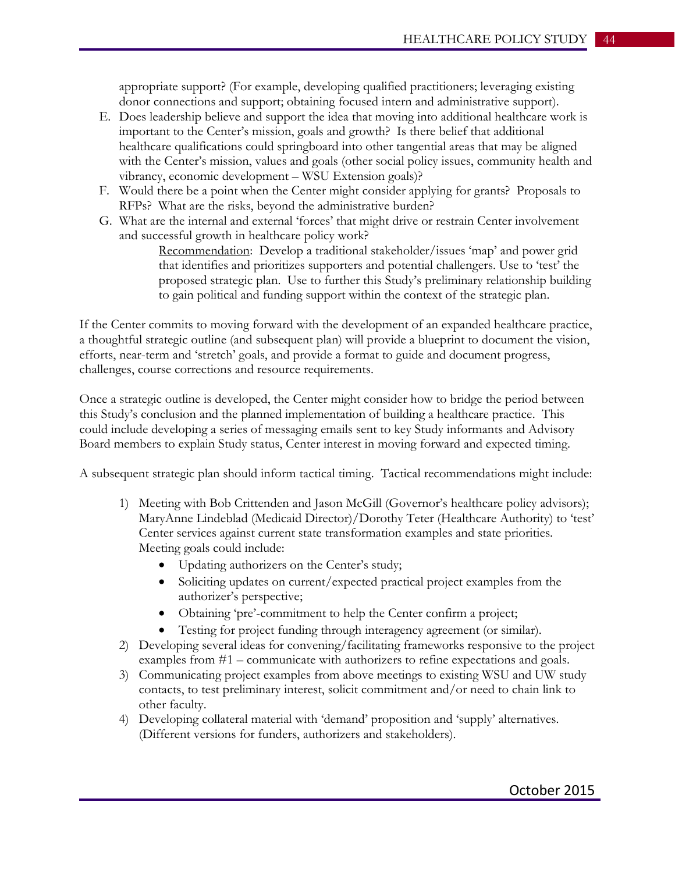appropriate support? (For example, developing qualified practitioners; leveraging existing donor connections and support; obtaining focused intern and administrative support).

- E. Does leadership believe and support the idea that moving into additional healthcare work is important to the Center's mission, goals and growth? Is there belief that additional healthcare qualifications could springboard into other tangential areas that may be aligned with the Center's mission, values and goals (other social policy issues, community health and vibrancy, economic development – WSU Extension goals)?
- F. Would there be a point when the Center might consider applying for grants? Proposals to RFPs? What are the risks, beyond the administrative burden?
- G. What are the internal and external 'forces' that might drive or restrain Center involvement and successful growth in healthcare policy work?

Recommendation: Develop a traditional stakeholder/issues 'map' and power grid that identifies and prioritizes supporters and potential challengers. Use to 'test' the proposed strategic plan. Use to further this Study's preliminary relationship building to gain political and funding support within the context of the strategic plan.

If the Center commits to moving forward with the development of an expanded healthcare practice, a thoughtful strategic outline (and subsequent plan) will provide a blueprint to document the vision, efforts, near-term and 'stretch' goals, and provide a format to guide and document progress, challenges, course corrections and resource requirements.

Once a strategic outline is developed, the Center might consider how to bridge the period between this Study's conclusion and the planned implementation of building a healthcare practice. This could include developing a series of messaging emails sent to key Study informants and Advisory Board members to explain Study status, Center interest in moving forward and expected timing.

A subsequent strategic plan should inform tactical timing. Tactical recommendations might include:

- 1) Meeting with Bob Crittenden and Jason McGill (Governor's healthcare policy advisors); MaryAnne Lindeblad (Medicaid Director)/Dorothy Teter (Healthcare Authority) to 'test' Center services against current state transformation examples and state priorities. Meeting goals could include:
	- Updating authorizers on the Center's study;
	- Soliciting updates on current/expected practical project examples from the authorizer's perspective;
	- Obtaining 'pre'-commitment to help the Center confirm a project;
	- Testing for project funding through interagency agreement (or similar).
- 2) Developing several ideas for convening/facilitating frameworks responsive to the project examples from #1 – communicate with authorizers to refine expectations and goals.
- 3) Communicating project examples from above meetings to existing WSU and UW study contacts, to test preliminary interest, solicit commitment and/or need to chain link to other faculty.
- 4) Developing collateral material with 'demand' proposition and 'supply' alternatives. (Different versions for funders, authorizers and stakeholders).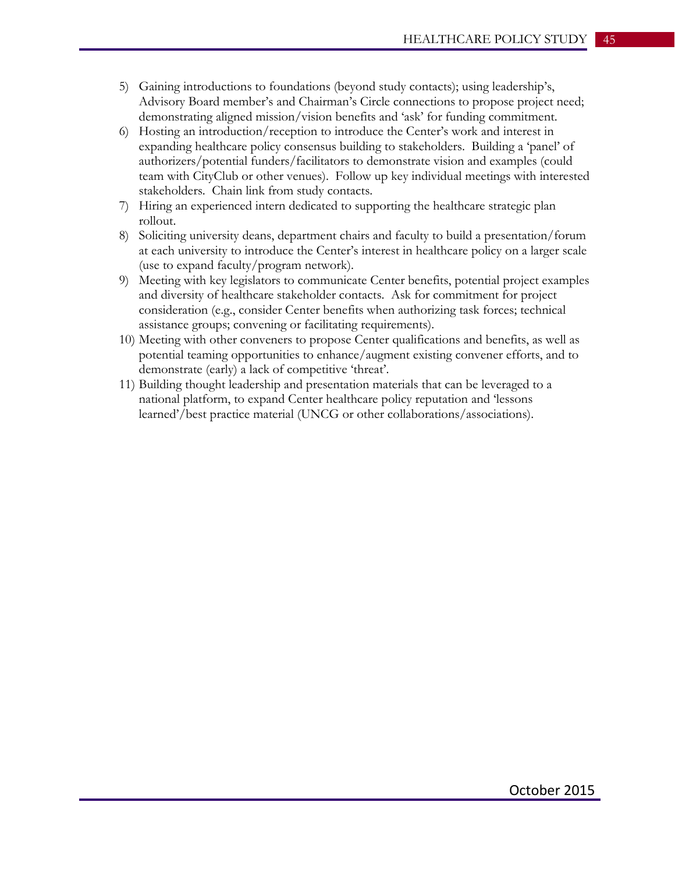- 5) Gaining introductions to foundations (beyond study contacts); using leadership's, Advisory Board member's and Chairman's Circle connections to propose project need; demonstrating aligned mission/vision benefits and 'ask' for funding commitment.
- 6) Hosting an introduction/reception to introduce the Center's work and interest in expanding healthcare policy consensus building to stakeholders. Building a 'panel' of authorizers/potential funders/facilitators to demonstrate vision and examples (could team with CityClub or other venues). Follow up key individual meetings with interested stakeholders. Chain link from study contacts.
- 7) Hiring an experienced intern dedicated to supporting the healthcare strategic plan rollout.
- 8) Soliciting university deans, department chairs and faculty to build a presentation/forum at each university to introduce the Center's interest in healthcare policy on a larger scale (use to expand faculty/program network).
- 9) Meeting with key legislators to communicate Center benefits, potential project examples and diversity of healthcare stakeholder contacts. Ask for commitment for project consideration (e.g., consider Center benefits when authorizing task forces; technical assistance groups; convening or facilitating requirements).
- 10) Meeting with other conveners to propose Center qualifications and benefits, as well as potential teaming opportunities to enhance/augment existing convener efforts, and to demonstrate (early) a lack of competitive 'threat'.
- 11) Building thought leadership and presentation materials that can be leveraged to a national platform, to expand Center healthcare policy reputation and 'lessons learned'/best practice material (UNCG or other collaborations/associations).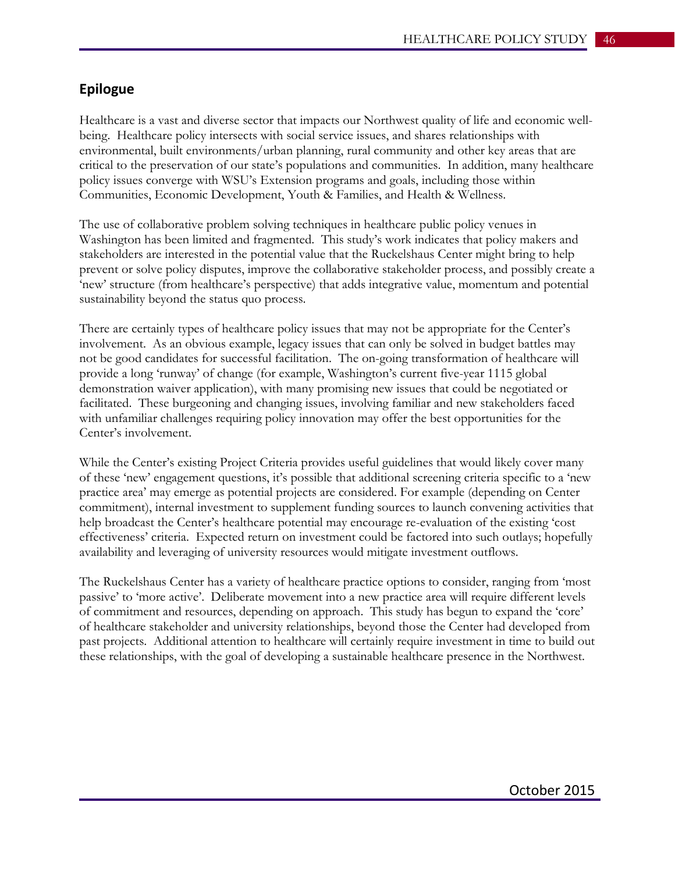## **Epilogue**

Healthcare is a vast and diverse sector that impacts our Northwest quality of life and economic wellbeing. Healthcare policy intersects with social service issues, and shares relationships with environmental, built environments/urban planning, rural community and other key areas that are critical to the preservation of our state's populations and communities. In addition, many healthcare policy issues converge with WSU's Extension programs and goals, including those within Communities, Economic Development, Youth & Families, and Health & Wellness.

The use of collaborative problem solving techniques in healthcare public policy venues in Washington has been limited and fragmented. This study's work indicates that policy makers and stakeholders are interested in the potential value that the Ruckelshaus Center might bring to help prevent or solve policy disputes, improve the collaborative stakeholder process, and possibly create a 'new' structure (from healthcare's perspective) that adds integrative value, momentum and potential sustainability beyond the status quo process.

There are certainly types of healthcare policy issues that may not be appropriate for the Center's involvement. As an obvious example, legacy issues that can only be solved in budget battles may not be good candidates for successful facilitation. The on-going transformation of healthcare will provide a long 'runway' of change (for example, Washington's current five-year 1115 global demonstration waiver application), with many promising new issues that could be negotiated or facilitated. These burgeoning and changing issues, involving familiar and new stakeholders faced with unfamiliar challenges requiring policy innovation may offer the best opportunities for the Center's involvement.

While the Center's existing Project Criteria provides useful guidelines that would likely cover many of these 'new' engagement questions, it's possible that additional screening criteria specific to a 'new practice area' may emerge as potential projects are considered. For example (depending on Center commitment), internal investment to supplement funding sources to launch convening activities that help broadcast the Center's healthcare potential may encourage re-evaluation of the existing 'cost effectiveness' criteria. Expected return on investment could be factored into such outlays; hopefully availability and leveraging of university resources would mitigate investment outflows.

The Ruckelshaus Center has a variety of healthcare practice options to consider, ranging from 'most passive' to 'more active'. Deliberate movement into a new practice area will require different levels of commitment and resources, depending on approach. This study has begun to expand the 'core' of healthcare stakeholder and university relationships, beyond those the Center had developed from past projects. Additional attention to healthcare will certainly require investment in time to build out these relationships, with the goal of developing a sustainable healthcare presence in the Northwest.